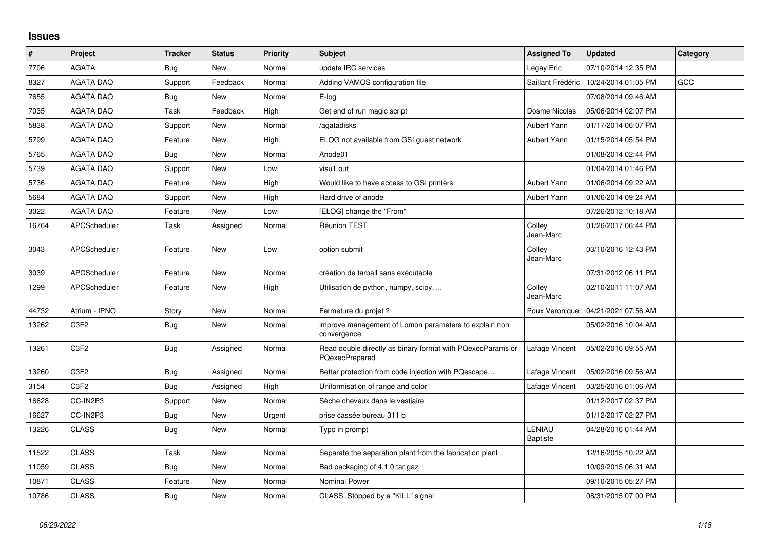## **Issues**

| $\pmb{\#}$ | Project                       | <b>Tracker</b> | <b>Status</b> | <b>Priority</b> | <b>Subject</b>                                                               | <b>Assigned To</b>  | <b>Updated</b>      | Category   |
|------------|-------------------------------|----------------|---------------|-----------------|------------------------------------------------------------------------------|---------------------|---------------------|------------|
| 7706       | <b>AGATA</b>                  | Bug            | <b>New</b>    | Normal          | update IRC services                                                          | Legay Eric          | 07/10/2014 12:35 PM |            |
| 8327       | <b>AGATA DAQ</b>              | Support        | Feedback      | Normal          | Adding VAMOS configuration file                                              | Saillant Frédéric   | 10/24/2014 01:05 PM | <b>GCC</b> |
| 7655       | <b>AGATA DAQ</b>              | Bug            | New           | Normal          | E-log                                                                        |                     | 07/08/2014 09:46 AM |            |
| 7035       | <b>AGATA DAQ</b>              | Task           | Feedback      | High            | Get end of run magic script                                                  | Dosme Nicolas       | 05/06/2014 02:07 PM |            |
| 5838       | <b>AGATA DAQ</b>              | Support        | <b>New</b>    | Normal          | /agatadisks                                                                  | Aubert Yann         | 01/17/2014 06:07 PM |            |
| 5799       | <b>AGATA DAQ</b>              | Feature        | <b>New</b>    | High            | ELOG not available from GSI guest network                                    | Aubert Yann         | 01/15/2014 05:54 PM |            |
| 5765       | <b>AGATA DAQ</b>              | <b>Bug</b>     | <b>New</b>    | Normal          | Anode01                                                                      |                     | 01/08/2014 02:44 PM |            |
| 5739       | <b>AGATA DAQ</b>              | Support        | New           | Low             | visu1 out                                                                    |                     | 01/04/2014 01:46 PM |            |
| 5736       | <b>AGATA DAQ</b>              | Feature        | <b>New</b>    | High            | Would like to have access to GSI printers                                    | Aubert Yann         | 01/06/2014 09:22 AM |            |
| 5684       | <b>AGATA DAQ</b>              | Support        | <b>New</b>    | High            | Hard drive of anode                                                          | Aubert Yann         | 01/06/2014 09:24 AM |            |
| 3022       | <b>AGATA DAQ</b>              | Feature        | <b>New</b>    | Low             | [ELOG] change the "From"                                                     |                     | 07/26/2012 10:18 AM |            |
| 16764      | <b>APCScheduler</b>           | Task           | Assigned      | Normal          | Réunion TEST                                                                 | Colley<br>Jean-Marc | 01/26/2017 06:44 PM |            |
| 3043       | <b>APCScheduler</b>           | Feature        | <b>New</b>    | Low             | option submit                                                                | Colley<br>Jean-Marc | 03/10/2016 12:43 PM |            |
| 3039       | APCScheduler                  | Feature        | <b>New</b>    | Normal          | création de tarball sans exécutable                                          |                     | 07/31/2012 06:11 PM |            |
| 1299       | APCScheduler                  | Feature        | New           | High            | Utilisation de python, numpy, scipy,                                         | Colley<br>Jean-Marc | 02/10/2011 11:07 AM |            |
| 44732      | Atrium - IPNO                 | Story          | New           | Normal          | Fermeture du projet ?                                                        | Poux Veronique      | 04/21/2021 07:56 AM |            |
| 13262      | C <sub>3F2</sub>              | <b>Bug</b>     | New           | Normal          | improve management of Lomon parameters to explain non<br>convergence         |                     | 05/02/2016 10:04 AM |            |
| 13261      | C <sub>3</sub> F <sub>2</sub> | <b>Bug</b>     | Assigned      | Normal          | Read double directly as binary format with PQexecParams or<br>PQexecPrepared | Lafage Vincent      | 05/02/2016 09:55 AM |            |
| 13260      | C <sub>3F2</sub>              | <b>Bug</b>     | Assigned      | Normal          | Better protection from code injection with PQescape                          | Lafage Vincent      | 05/02/2016 09:56 AM |            |
| 3154       | C3F2                          | <b>Bug</b>     | Assigned      | High            | Uniformisation of range and color                                            | Lafage Vincent      | 03/25/2016 01:06 AM |            |
| 16628      | CC-IN2P3                      | Support        | New           | Normal          | Sèche cheveux dans le vestiaire                                              |                     | 01/12/2017 02:37 PM |            |
| 16627      | CC-IN2P3                      | Bug            | <b>New</b>    | Urgent          | prise cassée bureau 311 b                                                    |                     | 01/12/2017 02:27 PM |            |
| 13226      | <b>CLASS</b>                  | Bug            | <b>New</b>    | Normal          | Typo in prompt                                                               | LENIAU<br>Baptiste  | 04/28/2016 01:44 AM |            |
| 11522      | <b>CLASS</b>                  | Task           | <b>New</b>    | Normal          | Separate the separation plant from the fabrication plant                     |                     | 12/16/2015 10:22 AM |            |
| 11059      | <b>CLASS</b>                  | Bug            | <b>New</b>    | Normal          | Bad packaging of 4.1.0.tar.gaz                                               |                     | 10/09/2015 06:31 AM |            |
| 10871      | <b>CLASS</b>                  | Feature        | <b>New</b>    | Normal          | <b>Nominal Power</b>                                                         |                     | 09/10/2015 05:27 PM |            |
| 10786      | <b>CLASS</b>                  | <b>Bug</b>     | <b>New</b>    | Normal          | CLASS Stopped by a "KILL" signal                                             |                     | 08/31/2015 07:00 PM |            |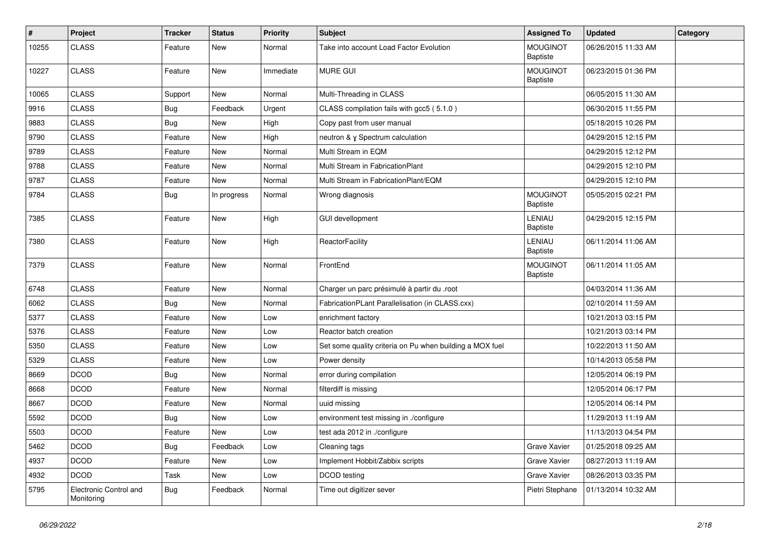| #     | Project                              | <b>Tracker</b> | <b>Status</b> | <b>Priority</b> | <b>Subject</b>                                           | <b>Assigned To</b>                 | <b>Updated</b>      | Category |
|-------|--------------------------------------|----------------|---------------|-----------------|----------------------------------------------------------|------------------------------------|---------------------|----------|
| 10255 | <b>CLASS</b>                         | Feature        | New           | Normal          | Take into account Load Factor Evolution                  | <b>MOUGINOT</b><br><b>Baptiste</b> | 06/26/2015 11:33 AM |          |
| 10227 | <b>CLASS</b>                         | Feature        | <b>New</b>    | Immediate       | <b>MURE GUI</b>                                          | <b>MOUGINOT</b><br>Baptiste        | 06/23/2015 01:36 PM |          |
| 10065 | <b>CLASS</b>                         | Support        | New           | Normal          | Multi-Threading in CLASS                                 |                                    | 06/05/2015 11:30 AM |          |
| 9916  | <b>CLASS</b>                         | Bug            | Feedback      | Urgent          | CLASS compilation fails with gcc5 (5.1.0)                |                                    | 06/30/2015 11:55 PM |          |
| 9883  | <b>CLASS</b>                         | Bug            | New           | High            | Copy past from user manual                               |                                    | 05/18/2015 10:26 PM |          |
| 9790  | <b>CLASS</b>                         | Feature        | New           | High            | neutron & y Spectrum calculation                         |                                    | 04/29/2015 12:15 PM |          |
| 9789  | <b>CLASS</b>                         | Feature        | New           | Normal          | Multi Stream in EQM                                      |                                    | 04/29/2015 12:12 PM |          |
| 9788  | <b>CLASS</b>                         | Feature        | <b>New</b>    | Normal          | Multi Stream in FabricationPlant                         |                                    | 04/29/2015 12:10 PM |          |
| 9787  | <b>CLASS</b>                         | Feature        | New           | Normal          | Multi Stream in FabricationPlant/EQM                     |                                    | 04/29/2015 12:10 PM |          |
| 9784  | <b>CLASS</b>                         | Bug            | In progress   | Normal          | Wrong diagnosis                                          | <b>MOUGINOT</b><br><b>Baptiste</b> | 05/05/2015 02:21 PM |          |
| 7385  | <b>CLASS</b>                         | Feature        | <b>New</b>    | High            | <b>GUI devellopment</b>                                  | LENIAU<br><b>Baptiste</b>          | 04/29/2015 12:15 PM |          |
| 7380  | <b>CLASS</b>                         | Feature        | <b>New</b>    | High            | ReactorFacility                                          | LENIAU<br><b>Baptiste</b>          | 06/11/2014 11:06 AM |          |
| 7379  | <b>CLASS</b>                         | Feature        | New           | Normal          | FrontEnd                                                 | <b>MOUGINOT</b><br><b>Baptiste</b> | 06/11/2014 11:05 AM |          |
| 6748  | <b>CLASS</b>                         | Feature        | New           | Normal          | Charger un parc présimulé à partir du .root              |                                    | 04/03/2014 11:36 AM |          |
| 6062  | <b>CLASS</b>                         | Bug            | New           | Normal          | FabricationPLant Parallelisation (in CLASS.cxx)          |                                    | 02/10/2014 11:59 AM |          |
| 5377  | <b>CLASS</b>                         | Feature        | New           | Low             | enrichment factory                                       |                                    | 10/21/2013 03:15 PM |          |
| 5376  | <b>CLASS</b>                         | Feature        | <b>New</b>    | Low             | Reactor batch creation                                   |                                    | 10/21/2013 03:14 PM |          |
| 5350  | <b>CLASS</b>                         | Feature        | New           | Low             | Set some quality criteria on Pu when building a MOX fuel |                                    | 10/22/2013 11:50 AM |          |
| 5329  | <b>CLASS</b>                         | Feature        | New           | Low             | Power density                                            |                                    | 10/14/2013 05:58 PM |          |
| 8669  | <b>DCOD</b>                          | <b>Bug</b>     | <b>New</b>    | Normal          | error during compilation                                 |                                    | 12/05/2014 06:19 PM |          |
| 8668  | <b>DCOD</b>                          | Feature        | New           | Normal          | filterdiff is missing                                    |                                    | 12/05/2014 06:17 PM |          |
| 8667  | <b>DCOD</b>                          | Feature        | <b>New</b>    | Normal          | uuid missing                                             |                                    | 12/05/2014 06:14 PM |          |
| 5592  | <b>DCOD</b>                          | <b>Bug</b>     | New           | Low             | environment test missing in ./configure                  |                                    | 11/29/2013 11:19 AM |          |
| 5503  | <b>DCOD</b>                          | Feature        | New           | Low             | test ada 2012 in ./configure                             |                                    | 11/13/2013 04:54 PM |          |
| 5462  | DCOD                                 | <b>Bug</b>     | Feedback      | Low             | Cleaning tags                                            | Grave Xavier                       | 01/25/2018 09:25 AM |          |
| 4937  | <b>DCOD</b>                          | Feature        | New           | Low             | Implement Hobbit/Zabbix scripts                          | Grave Xavier                       | 08/27/2013 11:19 AM |          |
| 4932  | <b>DCOD</b>                          | Task           | New           | Low             | DCOD testing                                             | Grave Xavier                       | 08/26/2013 03:35 PM |          |
| 5795  | Electronic Control and<br>Monitoring | <b>Bug</b>     | Feedback      | Normal          | Time out digitizer sever                                 | Pietri Stephane                    | 01/13/2014 10:32 AM |          |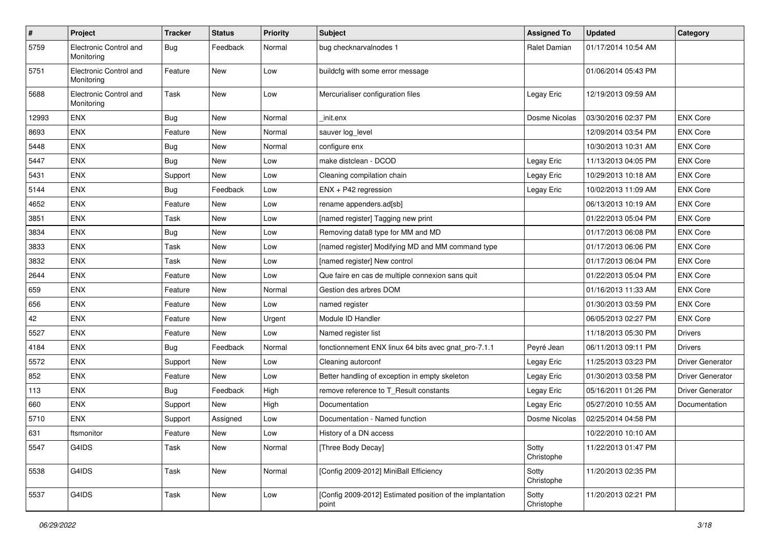| $\sharp$ | Project                              | <b>Tracker</b> | <b>Status</b> | <b>Priority</b> | <b>Subject</b>                                                     | <b>Assigned To</b>  | <b>Updated</b>      | Category                |
|----------|--------------------------------------|----------------|---------------|-----------------|--------------------------------------------------------------------|---------------------|---------------------|-------------------------|
| 5759     | Electronic Control and<br>Monitoring | <b>Bug</b>     | Feedback      | Normal          | bug checknarvalnodes 1                                             | Ralet Damian        | 01/17/2014 10:54 AM |                         |
| 5751     | Electronic Control and<br>Monitoring | Feature        | <b>New</b>    | Low             | buildcfg with some error message                                   |                     | 01/06/2014 05:43 PM |                         |
| 5688     | Electronic Control and<br>Monitoring | Task           | New           | Low             | Mercurialiser configuration files                                  | Legay Eric          | 12/19/2013 09:59 AM |                         |
| 12993    | ENX                                  | Bug            | <b>New</b>    | Normal          | init.enx                                                           | Dosme Nicolas       | 03/30/2016 02:37 PM | <b>ENX Core</b>         |
| 8693     | <b>ENX</b>                           | Feature        | New           | Normal          | sauver log_level                                                   |                     | 12/09/2014 03:54 PM | <b>ENX Core</b>         |
| 5448     | ENX                                  | Bug            | New           | Normal          | configure enx                                                      |                     | 10/30/2013 10:31 AM | <b>ENX Core</b>         |
| 5447     | ENX                                  | Bug            | <b>New</b>    | Low             | make distclean - DCOD                                              | Legay Eric          | 11/13/2013 04:05 PM | <b>ENX Core</b>         |
| 5431     | ENX                                  | Support        | <b>New</b>    | Low             | Cleaning compilation chain                                         | Legay Eric          | 10/29/2013 10:18 AM | <b>ENX Core</b>         |
| 5144     | <b>ENX</b>                           | <b>Bug</b>     | Feedback      | Low             | ENX + P42 regression                                               | Legay Eric          | 10/02/2013 11:09 AM | <b>ENX Core</b>         |
| 4652     | <b>ENX</b>                           | Feature        | <b>New</b>    | Low             | rename appenders.ad[sb]                                            |                     | 06/13/2013 10:19 AM | <b>ENX Core</b>         |
| 3851     | <b>ENX</b>                           | Task           | <b>New</b>    | Low             | [named register] Tagging new print                                 |                     | 01/22/2013 05:04 PM | <b>ENX Core</b>         |
| 3834     | ENX                                  | <b>Bug</b>     | <b>New</b>    | Low             | Removing data8 type for MM and MD                                  |                     | 01/17/2013 06:08 PM | <b>ENX Core</b>         |
| 3833     | ENX                                  | Task           | New           | Low             | [named register] Modifying MD and MM command type                  |                     | 01/17/2013 06:06 PM | <b>ENX Core</b>         |
| 3832     | <b>ENX</b>                           | Task           | New           | Low             | [named register] New control                                       |                     | 01/17/2013 06:04 PM | <b>ENX Core</b>         |
| 2644     | ENX                                  | Feature        | <b>New</b>    | Low             | Que faire en cas de multiple connexion sans quit                   |                     | 01/22/2013 05:04 PM | <b>ENX Core</b>         |
| 659      | ENX                                  | Feature        | <b>New</b>    | Normal          | Gestion des arbres DOM                                             |                     | 01/16/2013 11:33 AM | <b>ENX Core</b>         |
| 656      | <b>ENX</b>                           | Feature        | <b>New</b>    | Low             | named register                                                     |                     | 01/30/2013 03:59 PM | <b>ENX Core</b>         |
| 42       | <b>ENX</b>                           | Feature        | New           | Urgent          | Module ID Handler                                                  |                     | 06/05/2013 02:27 PM | <b>ENX Core</b>         |
| 5527     | ENX                                  | Feature        | New           | Low             | Named register list                                                |                     | 11/18/2013 05:30 PM | <b>Drivers</b>          |
| 4184     | ENX                                  | Bug            | Feedback      | Normal          | fonctionnement ENX linux 64 bits avec gnat_pro-7.1.1               | Peyré Jean          | 06/11/2013 09:11 PM | <b>Drivers</b>          |
| 5572     | ENX                                  | Support        | <b>New</b>    | Low             | Cleaning autorconf                                                 | Legay Eric          | 11/25/2013 03:23 PM | Driver Generator        |
| 852      | <b>ENX</b>                           | Feature        | <b>New</b>    | Low             | Better handling of exception in empty skeleton                     | Legay Eric          | 01/30/2013 03:58 PM | <b>Driver Generator</b> |
| 113      | ENX                                  | Bug            | Feedback      | High            | remove reference to T_Result constants                             | Legay Eric          | 05/16/2011 01:26 PM | Driver Generator        |
| 660      | ENX                                  | Support        | New           | High            | Documentation                                                      | Legay Eric          | 05/27/2010 10:55 AM | Documentation           |
| 5710     | <b>ENX</b>                           | Support        | Assigned      | Low             | Documentation - Named function                                     | Dosme Nicolas       | 02/25/2014 04:58 PM |                         |
| 631      | ftsmonitor                           | Feature        | New           | Low             | History of a DN access                                             |                     | 10/22/2010 10:10 AM |                         |
| 5547     | G4IDS                                | Task           | New           | Normal          | [Three Body Decay]                                                 | Sotty<br>Christophe | 11/22/2013 01:47 PM |                         |
| 5538     | G4IDS                                | Task           | New           | Normal          | [Config 2009-2012] MiniBall Efficiency                             | Sotty<br>Christophe | 11/20/2013 02:35 PM |                         |
| 5537     | G4IDS                                | Task           | New           | Low             | [Config 2009-2012] Estimated position of the implantation<br>point | Sotty<br>Christophe | 11/20/2013 02:21 PM |                         |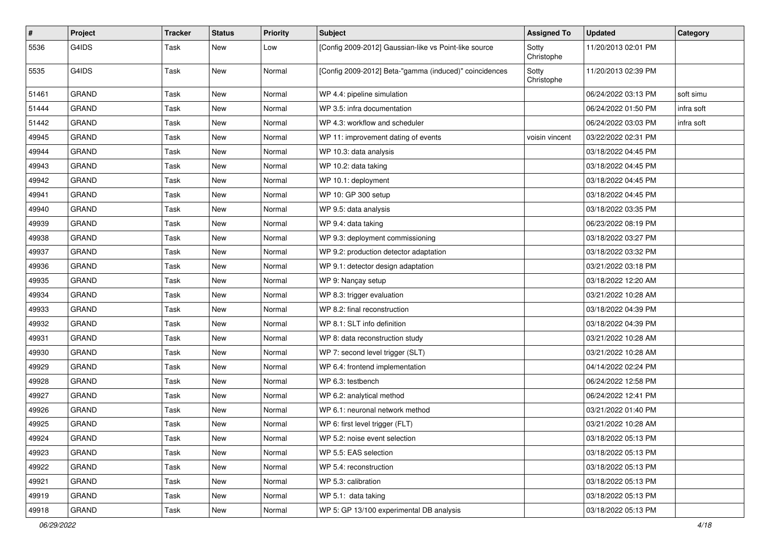| $\pmb{\#}$ | Project      | <b>Tracker</b> | <b>Status</b> | <b>Priority</b> | Subject                                                | <b>Assigned To</b>  | <b>Updated</b>      | Category   |
|------------|--------------|----------------|---------------|-----------------|--------------------------------------------------------|---------------------|---------------------|------------|
| 5536       | G4IDS        | Task           | New           | Low             | [Config 2009-2012] Gaussian-like vs Point-like source  | Sotty<br>Christophe | 11/20/2013 02:01 PM |            |
| 5535       | G4IDS        | Task           | <b>New</b>    | Normal          | [Config 2009-2012] Beta-"gamma (induced)" coincidences | Sotty<br>Christophe | 11/20/2013 02:39 PM |            |
| 51461      | <b>GRAND</b> | Task           | <b>New</b>    | Normal          | WP 4.4: pipeline simulation                            |                     | 06/24/2022 03:13 PM | soft simu  |
| 51444      | <b>GRAND</b> | Task           | <b>New</b>    | Normal          | WP 3.5: infra documentation                            |                     | 06/24/2022 01:50 PM | infra soft |
| 51442      | <b>GRAND</b> | Task           | New           | Normal          | WP 4.3: workflow and scheduler                         |                     | 06/24/2022 03:03 PM | infra soft |
| 49945      | <b>GRAND</b> | Task           | New           | Normal          | WP 11: improvement dating of events                    | voisin vincent      | 03/22/2022 02:31 PM |            |
| 49944      | <b>GRAND</b> | Task           | New           | Normal          | WP 10.3: data analysis                                 |                     | 03/18/2022 04:45 PM |            |
| 49943      | <b>GRAND</b> | Task           | <b>New</b>    | Normal          | WP 10.2: data taking                                   |                     | 03/18/2022 04:45 PM |            |
| 49942      | <b>GRAND</b> | Task           | <b>New</b>    | Normal          | WP 10.1: deployment                                    |                     | 03/18/2022 04:45 PM |            |
| 49941      | <b>GRAND</b> | Task           | New           | Normal          | WP 10: GP 300 setup                                    |                     | 03/18/2022 04:45 PM |            |
| 49940      | <b>GRAND</b> | Task           | <b>New</b>    | Normal          | WP 9.5: data analysis                                  |                     | 03/18/2022 03:35 PM |            |
| 49939      | <b>GRAND</b> | Task           | <b>New</b>    | Normal          | WP 9.4: data taking                                    |                     | 06/23/2022 08:19 PM |            |
| 49938      | <b>GRAND</b> | Task           | <b>New</b>    | Normal          | WP 9.3: deployment commissioning                       |                     | 03/18/2022 03:27 PM |            |
| 49937      | <b>GRAND</b> | Task           | New           | Normal          | WP 9.2: production detector adaptation                 |                     | 03/18/2022 03:32 PM |            |
| 49936      | <b>GRAND</b> | Task           | New           | Normal          | WP 9.1: detector design adaptation                     |                     | 03/21/2022 03:18 PM |            |
| 49935      | GRAND        | Task           | <b>New</b>    | Normal          | WP 9: Nançay setup                                     |                     | 03/18/2022 12:20 AM |            |
| 49934      | <b>GRAND</b> | Task           | <b>New</b>    | Normal          | WP 8.3: trigger evaluation                             |                     | 03/21/2022 10:28 AM |            |
| 49933      | <b>GRAND</b> | Task           | <b>New</b>    | Normal          | WP 8.2: final reconstruction                           |                     | 03/18/2022 04:39 PM |            |
| 49932      | <b>GRAND</b> | Task           | <b>New</b>    | Normal          | WP 8.1: SLT info definition                            |                     | 03/18/2022 04:39 PM |            |
| 49931      | <b>GRAND</b> | Task           | New           | Normal          | WP 8: data reconstruction study                        |                     | 03/21/2022 10:28 AM |            |
| 49930      | <b>GRAND</b> | Task           | <b>New</b>    | Normal          | WP 7: second level trigger (SLT)                       |                     | 03/21/2022 10:28 AM |            |
| 49929      | <b>GRAND</b> | Task           | <b>New</b>    | Normal          | WP 6.4: frontend implementation                        |                     | 04/14/2022 02:24 PM |            |
| 49928      | <b>GRAND</b> | Task           | New           | Normal          | WP 6.3: testbench                                      |                     | 06/24/2022 12:58 PM |            |
| 49927      | <b>GRAND</b> | Task           | New           | Normal          | WP 6.2: analytical method                              |                     | 06/24/2022 12:41 PM |            |
| 49926      | <b>GRAND</b> | Task           | New           | Normal          | WP 6.1: neuronal network method                        |                     | 03/21/2022 01:40 PM |            |
| 49925      | <b>GRAND</b> | Task           | <b>New</b>    | Normal          | WP 6: first level trigger (FLT)                        |                     | 03/21/2022 10:28 AM |            |
| 49924      | GRAND        | Task           | New           | Normal          | WP 5.2: noise event selection                          |                     | 03/18/2022 05:13 PM |            |
| 49923      | <b>GRAND</b> | Task           | New           | Normal          | WP 5.5: EAS selection                                  |                     | 03/18/2022 05:13 PM |            |
| 49922      | GRAND        | Task           | New           | Normal          | WP 5.4: reconstruction                                 |                     | 03/18/2022 05:13 PM |            |
| 49921      | <b>GRAND</b> | Task           | New           | Normal          | WP 5.3: calibration                                    |                     | 03/18/2022 05:13 PM |            |
| 49919      | <b>GRAND</b> | Task           | New           | Normal          | WP 5.1: data taking                                    |                     | 03/18/2022 05:13 PM |            |
| 49918      | GRAND        | Task           | New           | Normal          | WP 5: GP 13/100 experimental DB analysis               |                     | 03/18/2022 05:13 PM |            |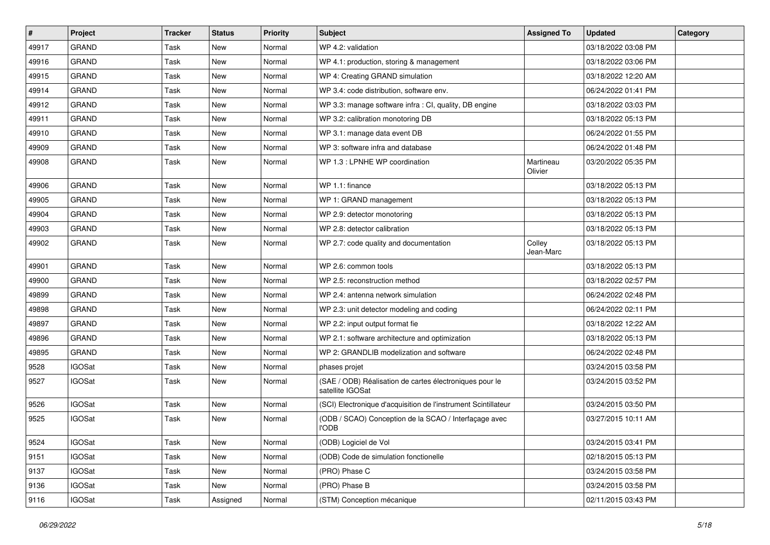| #     | Project       | <b>Tracker</b> | <b>Status</b> | <b>Priority</b> | <b>Subject</b>                                                              | <b>Assigned To</b>   | <b>Updated</b>      | Category |
|-------|---------------|----------------|---------------|-----------------|-----------------------------------------------------------------------------|----------------------|---------------------|----------|
| 49917 | <b>GRAND</b>  | Task           | New           | Normal          | WP 4.2: validation                                                          |                      | 03/18/2022 03:08 PM |          |
| 49916 | GRAND         | Task           | <b>New</b>    | Normal          | WP 4.1: production, storing & management                                    |                      | 03/18/2022 03:06 PM |          |
| 49915 | <b>GRAND</b>  | Task           | New           | Normal          | WP 4: Creating GRAND simulation                                             |                      | 03/18/2022 12:20 AM |          |
| 49914 | <b>GRAND</b>  | Task           | <b>New</b>    | Normal          | WP 3.4: code distribution, software env.                                    |                      | 06/24/2022 01:41 PM |          |
| 49912 | <b>GRAND</b>  | Task           | <b>New</b>    | Normal          | WP 3.3: manage software infra : CI, quality, DB engine                      |                      | 03/18/2022 03:03 PM |          |
| 49911 | <b>GRAND</b>  | Task           | <b>New</b>    | Normal          | WP 3.2: calibration monotoring DB                                           |                      | 03/18/2022 05:13 PM |          |
| 49910 | <b>GRAND</b>  | Task           | <b>New</b>    | Normal          | WP 3.1: manage data event DB                                                |                      | 06/24/2022 01:55 PM |          |
| 49909 | <b>GRAND</b>  | Task           | New           | Normal          | WP 3: software infra and database                                           |                      | 06/24/2022 01:48 PM |          |
| 49908 | <b>GRAND</b>  | Task           | New           | Normal          | WP 1.3 : LPNHE WP coordination                                              | Martineau<br>Olivier | 03/20/2022 05:35 PM |          |
| 49906 | <b>GRAND</b>  | Task           | <b>New</b>    | Normal          | WP 1.1: finance                                                             |                      | 03/18/2022 05:13 PM |          |
| 49905 | <b>GRAND</b>  | Task           | <b>New</b>    | Normal          | WP 1: GRAND management                                                      |                      | 03/18/2022 05:13 PM |          |
| 49904 | <b>GRAND</b>  | Task           | New           | Normal          | WP 2.9: detector monotoring                                                 |                      | 03/18/2022 05:13 PM |          |
| 49903 | <b>GRAND</b>  | Task           | New           | Normal          | WP 2.8: detector calibration                                                |                      | 03/18/2022 05:13 PM |          |
| 49902 | <b>GRAND</b>  | Task           | New           | Normal          | WP 2.7: code quality and documentation                                      | Colley<br>Jean-Marc  | 03/18/2022 05:13 PM |          |
| 49901 | <b>GRAND</b>  | Task           | <b>New</b>    | Normal          | WP 2.6: common tools                                                        |                      | 03/18/2022 05:13 PM |          |
| 49900 | <b>GRAND</b>  | Task           | <b>New</b>    | Normal          | WP 2.5: reconstruction method                                               |                      | 03/18/2022 02:57 PM |          |
| 49899 | <b>GRAND</b>  | Task           | New           | Normal          | WP 2.4: antenna network simulation                                          |                      | 06/24/2022 02:48 PM |          |
| 49898 | <b>GRAND</b>  | Task           | <b>New</b>    | Normal          | WP 2.3: unit detector modeling and coding                                   |                      | 06/24/2022 02:11 PM |          |
| 49897 | <b>GRAND</b>  | Task           | New           | Normal          | WP 2.2: input output format fie                                             |                      | 03/18/2022 12:22 AM |          |
| 49896 | <b>GRAND</b>  | Task           | New           | Normal          | WP 2.1: software architecture and optimization                              |                      | 03/18/2022 05:13 PM |          |
| 49895 | GRAND         | Task           | <b>New</b>    | Normal          | WP 2: GRANDLIB modelization and software                                    |                      | 06/24/2022 02:48 PM |          |
| 9528  | <b>IGOSat</b> | Task           | New           | Normal          | phases projet                                                               |                      | 03/24/2015 03:58 PM |          |
| 9527  | <b>IGOSat</b> | Task           | New           | Normal          | (SAE / ODB) Réalisation de cartes électroniques pour le<br>satellite IGOSat |                      | 03/24/2015 03:52 PM |          |
| 9526  | <b>IGOSat</b> | Task           | <b>New</b>    | Normal          | (SCI) Electronique d'acquisition de l'instrument Scintillateur              |                      | 03/24/2015 03:50 PM |          |
| 9525  | <b>IGOSat</b> | Task           | New           | Normal          | (ODB / SCAO) Conception de la SCAO / Interfaçage avec<br><b>l'ODB</b>       |                      | 03/27/2015 10:11 AM |          |
| 9524  | <b>IGOSat</b> | Task           | New           | Normal          | (ODB) Logiciel de Vol                                                       |                      | 03/24/2015 03:41 PM |          |
| 9151  | <b>IGOSat</b> | Task           | New           | Normal          | (ODB) Code de simulation fonctionelle                                       |                      | 02/18/2015 05:13 PM |          |
| 9137  | <b>IGOSat</b> | Task           | New           | Normal          | (PRO) Phase C                                                               |                      | 03/24/2015 03:58 PM |          |
| 9136  | <b>IGOSat</b> | Task           | New           | Normal          | (PRO) Phase B                                                               |                      | 03/24/2015 03:58 PM |          |
| 9116  | <b>IGOSat</b> | Task           | Assigned      | Normal          | (STM) Conception mécanique                                                  |                      | 02/11/2015 03:43 PM |          |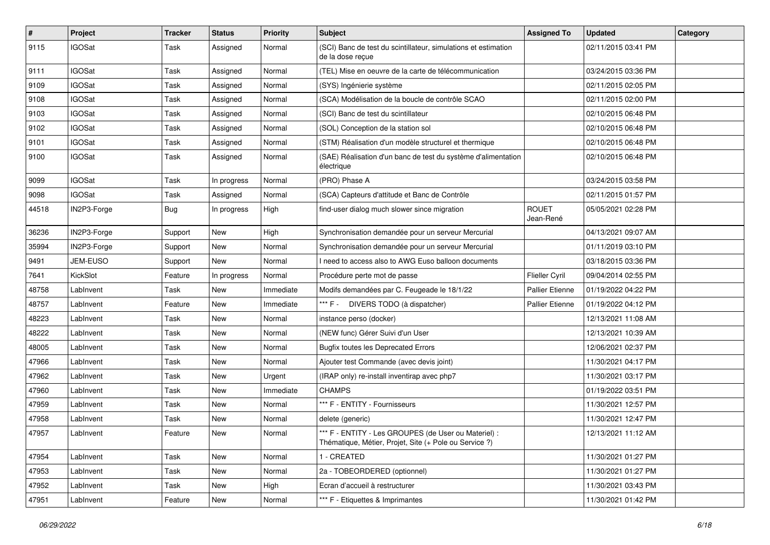| #     | Project       | <b>Tracker</b> | <b>Status</b> | <b>Priority</b> | Subject                                                                                                        | <b>Assigned To</b>        | <b>Updated</b>      | Category |
|-------|---------------|----------------|---------------|-----------------|----------------------------------------------------------------------------------------------------------------|---------------------------|---------------------|----------|
| 9115  | <b>IGOSat</b> | Task           | Assigned      | Normal          | (SCI) Banc de test du scintillateur, simulations et estimation<br>de la dose reçue                             |                           | 02/11/2015 03:41 PM |          |
| 9111  | <b>IGOSat</b> | Task           | Assigned      | Normal          | (TEL) Mise en oeuvre de la carte de télécommunication                                                          |                           | 03/24/2015 03:36 PM |          |
| 9109  | <b>IGOSat</b> | Task           | Assigned      | Normal          | (SYS) Ingénierie système                                                                                       |                           | 02/11/2015 02:05 PM |          |
| 9108  | <b>IGOSat</b> | Task           | Assigned      | Normal          | (SCA) Modélisation de la boucle de contrôle SCAO                                                               |                           | 02/11/2015 02:00 PM |          |
| 9103  | <b>IGOSat</b> | Task           | Assigned      | Normal          | (SCI) Banc de test du scintillateur                                                                            |                           | 02/10/2015 06:48 PM |          |
| 9102  | <b>IGOSat</b> | Task           | Assigned      | Normal          | (SOL) Conception de la station sol                                                                             |                           | 02/10/2015 06:48 PM |          |
| 9101  | <b>IGOSat</b> | Task           | Assigned      | Normal          | (STM) Réalisation d'un modèle structurel et thermique                                                          |                           | 02/10/2015 06:48 PM |          |
| 9100  | <b>IGOSat</b> | Task           | Assigned      | Normal          | (SAE) Réalisation d'un banc de test du système d'alimentation<br>électrique                                    |                           | 02/10/2015 06:48 PM |          |
| 9099  | <b>IGOSat</b> | Task           | In progress   | Normal          | (PRO) Phase A                                                                                                  |                           | 03/24/2015 03:58 PM |          |
| 9098  | <b>IGOSat</b> | Task           | Assigned      | Normal          | (SCA) Capteurs d'attitude et Banc de Contrôle                                                                  |                           | 02/11/2015 01:57 PM |          |
| 44518 | IN2P3-Forge   | Bug            | In progress   | High            | find-user dialog much slower since migration                                                                   | <b>ROUET</b><br>Jean-René | 05/05/2021 02:28 PM |          |
| 36236 | IN2P3-Forge   | Support        | New           | High            | Synchronisation demandée pour un serveur Mercurial                                                             |                           | 04/13/2021 09:07 AM |          |
| 35994 | IN2P3-Forge   | Support        | New           | Normal          | Synchronisation demandée pour un serveur Mercurial                                                             |                           | 01/11/2019 03:10 PM |          |
| 9491  | JEM-EUSO      | Support        | New           | Normal          | I need to access also to AWG Euso balloon documents                                                            |                           | 03/18/2015 03:36 PM |          |
| 7641  | KickSlot      | Feature        | In progress   | Normal          | Procédure perte mot de passe                                                                                   | Flieller Cyril            | 09/04/2014 02:55 PM |          |
| 48758 | LabInvent     | Task           | New           | Immediate       | Modifs demandées par C. Feugeade le 18/1/22                                                                    | <b>Pallier Etienne</b>    | 01/19/2022 04:22 PM |          |
| 48757 | LabInvent     | Feature        | <b>New</b>    | Immediate       | *** F - DIVERS TODO (à dispatcher)                                                                             | <b>Pallier Etienne</b>    | 01/19/2022 04:12 PM |          |
| 48223 | LabInvent     | Task           | New           | Normal          | instance perso (docker)                                                                                        |                           | 12/13/2021 11:08 AM |          |
| 48222 | LabInvent     | Task           | New           | Normal          | (NEW func) Gérer Suivi d'un User                                                                               |                           | 12/13/2021 10:39 AM |          |
| 48005 | LabInvent     | Task           | <b>New</b>    | Normal          | <b>Bugfix toutes les Deprecated Errors</b>                                                                     |                           | 12/06/2021 02:37 PM |          |
| 47966 | LabInvent     | Task           | New           | Normal          | Ajouter test Commande (avec devis joint)                                                                       |                           | 11/30/2021 04:17 PM |          |
| 47962 | LabInvent     | Task           | <b>New</b>    | Urgent          | (IRAP only) re-install inventirap avec php7                                                                    |                           | 11/30/2021 03:17 PM |          |
| 47960 | LabInvent     | Task           | New           | Immediate       | <b>CHAMPS</b>                                                                                                  |                           | 01/19/2022 03:51 PM |          |
| 47959 | LabInvent     | Task           | <b>New</b>    | Normal          | *** F - ENTITY - Fournisseurs                                                                                  |                           | 11/30/2021 12:57 PM |          |
| 47958 | LabInvent     | Task           | <b>New</b>    | Normal          | delete (generic)                                                                                               |                           | 11/30/2021 12:47 PM |          |
| 47957 | LabInvent     | Feature        | New           | Normal          | *** F - ENTITY - Les GROUPES (de User ou Materiel) :<br>Thématique, Métier, Projet, Site (+ Pole ou Service ?) |                           | 12/13/2021 11:12 AM |          |
| 47954 | LabInvent     | Task           | New           | Normal          | 1 - CREATED                                                                                                    |                           | 11/30/2021 01:27 PM |          |
| 47953 | LabInvent     | Task           | New           | Normal          | 2a - TOBEORDERED (optionnel)                                                                                   |                           | 11/30/2021 01:27 PM |          |
| 47952 | LabInvent     | Task           | New           | High            | Ecran d'accueil à restructurer                                                                                 |                           | 11/30/2021 03:43 PM |          |
| 47951 | LabInvent     | Feature        | New           | Normal          | *** F - Etiquettes & Imprimantes                                                                               |                           | 11/30/2021 01:42 PM |          |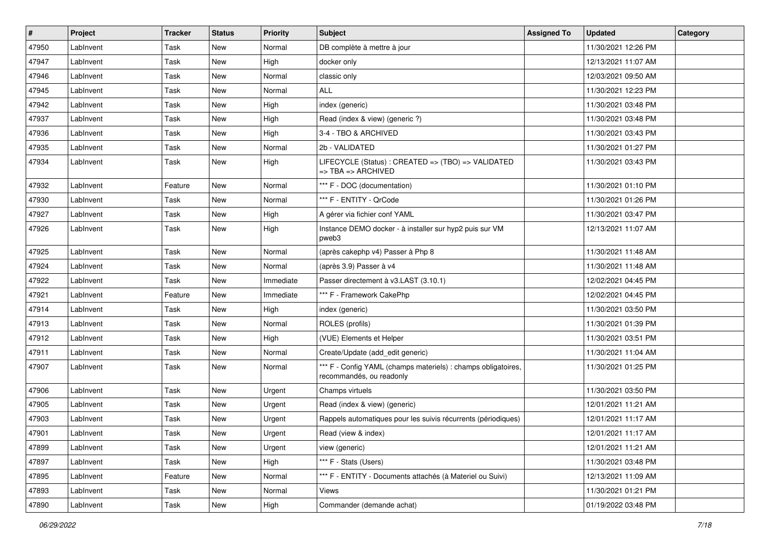| #     | Project   | <b>Tracker</b> | <b>Status</b> | <b>Priority</b> | <b>Subject</b>                                                                                 | <b>Assigned To</b> | <b>Updated</b>      | Category |
|-------|-----------|----------------|---------------|-----------------|------------------------------------------------------------------------------------------------|--------------------|---------------------|----------|
| 47950 | LabInvent | Task           | New           | Normal          | DB complète à mettre à jour                                                                    |                    | 11/30/2021 12:26 PM |          |
| 47947 | LabInvent | Task           | <b>New</b>    | High            | docker only                                                                                    |                    | 12/13/2021 11:07 AM |          |
| 47946 | LabInvent | Task           | New           | Normal          | classic only                                                                                   |                    | 12/03/2021 09:50 AM |          |
| 47945 | LabInvent | Task           | New           | Normal          | <b>ALL</b>                                                                                     |                    | 11/30/2021 12:23 PM |          |
| 47942 | LabInvent | Task           | New           | High            | index (generic)                                                                                |                    | 11/30/2021 03:48 PM |          |
| 47937 | LabInvent | Task           | New           | High            | Read (index & view) (generic ?)                                                                |                    | 11/30/2021 03:48 PM |          |
| 47936 | LabInvent | Task           | <b>New</b>    | High            | 3-4 - TBO & ARCHIVED                                                                           |                    | 11/30/2021 03:43 PM |          |
| 47935 | LabInvent | Task           | New           | Normal          | 2b - VALIDATED                                                                                 |                    | 11/30/2021 01:27 PM |          |
| 47934 | LabInvent | Task           | New           | High            | LIFECYCLE (Status) : CREATED => (TBO) => VALIDATED<br>$\Rightarrow$ TBA $\Rightarrow$ ARCHIVED |                    | 11/30/2021 03:43 PM |          |
| 47932 | LabInvent | Feature        | New           | Normal          | *** F - DOC (documentation)                                                                    |                    | 11/30/2021 01:10 PM |          |
| 47930 | LabInvent | Task           | <b>New</b>    | Normal          | *** F - ENTITY - QrCode                                                                        |                    | 11/30/2021 01:26 PM |          |
| 47927 | LabInvent | Task           | <b>New</b>    | High            | A gérer via fichier conf YAML                                                                  |                    | 11/30/2021 03:47 PM |          |
| 47926 | LabInvent | Task           | New           | High            | Instance DEMO docker - à installer sur hyp2 puis sur VM<br>pweb3                               |                    | 12/13/2021 11:07 AM |          |
| 47925 | LabInvent | Task           | New           | Normal          | (après cakephp v4) Passer à Php 8                                                              |                    | 11/30/2021 11:48 AM |          |
| 47924 | LabInvent | Task           | <b>New</b>    | Normal          | (après 3.9) Passer à v4                                                                        |                    | 11/30/2021 11:48 AM |          |
| 47922 | LabInvent | Task           | <b>New</b>    | Immediate       | Passer directement à v3.LAST (3.10.1)                                                          |                    | 12/02/2021 04:45 PM |          |
| 47921 | LabInvent | Feature        | New           | Immediate       | *** F - Framework CakePhp                                                                      |                    | 12/02/2021 04:45 PM |          |
| 47914 | LabInvent | Task           | <b>New</b>    | High            | index (generic)                                                                                |                    | 11/30/2021 03:50 PM |          |
| 47913 | LabInvent | Task           | New           | Normal          | ROLES (profils)                                                                                |                    | 11/30/2021 01:39 PM |          |
| 47912 | LabInvent | Task           | New           | High            | (VUE) Elements et Helper                                                                       |                    | 11/30/2021 03:51 PM |          |
| 47911 | LabInvent | Task           | <b>New</b>    | Normal          | Create/Update (add_edit generic)                                                               |                    | 11/30/2021 11:04 AM |          |
| 47907 | LabInvent | Task           | New           | Normal          | *** F - Config YAML (champs materiels) : champs obligatoires,<br>recommandés, ou readonly      |                    | 11/30/2021 01:25 PM |          |
| 47906 | LabInvent | Task           | New           | Urgent          | Champs virtuels                                                                                |                    | 11/30/2021 03:50 PM |          |
| 47905 | LabInvent | Task           | New           | Urgent          | Read (index & view) (generic)                                                                  |                    | 12/01/2021 11:21 AM |          |
| 47903 | LabInvent | Task           | <b>New</b>    | Urgent          | Rappels automatiques pour les suivis récurrents (périodiques)                                  |                    | 12/01/2021 11:17 AM |          |
| 47901 | LabInvent | Task           | New           | Urgent          | Read (view & index)                                                                            |                    | 12/01/2021 11:17 AM |          |
| 47899 | LabInvent | Task           | New           | Urgent          | view (generic)                                                                                 |                    | 12/01/2021 11:21 AM |          |
| 47897 | LabInvent | Task           | New           | High            | *** F - Stats (Users)                                                                          |                    | 11/30/2021 03:48 PM |          |
| 47895 | LabInvent | Feature        | New           | Normal          | *** F - ENTITY - Documents attachés (à Materiel ou Suivi)                                      |                    | 12/13/2021 11:09 AM |          |
| 47893 | LabInvent | Task           | New           | Normal          | Views                                                                                          |                    | 11/30/2021 01:21 PM |          |
| 47890 | LabInvent | Task           | New           | High            | Commander (demande achat)                                                                      |                    | 01/19/2022 03:48 PM |          |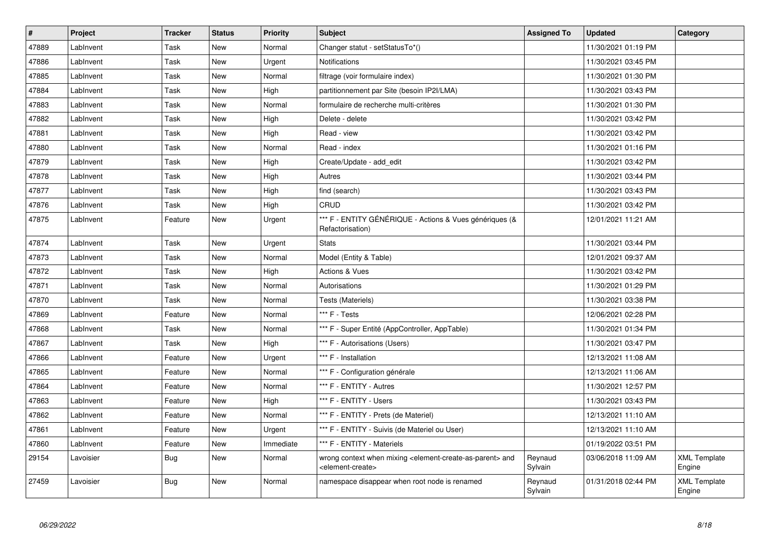| $\vert$ # | <b>Project</b> | <b>Tracker</b> | <b>Status</b> | <b>Priority</b> | <b>Subject</b>                                                                                                            | <b>Assigned To</b> | <b>Updated</b>      | Category                      |
|-----------|----------------|----------------|---------------|-----------------|---------------------------------------------------------------------------------------------------------------------------|--------------------|---------------------|-------------------------------|
| 47889     | LabInvent      | Task           | <b>New</b>    | Normal          | Changer statut - setStatusTo*()                                                                                           |                    | 11/30/2021 01:19 PM |                               |
| 47886     | LabInvent      | Task           | <b>New</b>    | Urgent          | Notifications                                                                                                             |                    | 11/30/2021 03:45 PM |                               |
| 47885     | LabInvent      | Task           | <b>New</b>    | Normal          | filtrage (voir formulaire index)                                                                                          |                    | 11/30/2021 01:30 PM |                               |
| 47884     | LabInvent      | Task           | <b>New</b>    | High            | partitionnement par Site (besoin IP2I/LMA)                                                                                |                    | 11/30/2021 03:43 PM |                               |
| 47883     | LabInvent      | Task           | <b>New</b>    | Normal          | formulaire de recherche multi-critères                                                                                    |                    | 11/30/2021 01:30 PM |                               |
| 47882     | LabInvent      | Task           | New           | High            | Delete - delete                                                                                                           |                    | 11/30/2021 03:42 PM |                               |
| 47881     | LabInvent      | Task           | New           | High            | Read - view                                                                                                               |                    | 11/30/2021 03:42 PM |                               |
| 47880     | LabInvent      | Task           | New           | Normal          | Read - index                                                                                                              |                    | 11/30/2021 01:16 PM |                               |
| 47879     | LabInvent      | Task           | New           | High            | Create/Update - add_edit                                                                                                  |                    | 11/30/2021 03:42 PM |                               |
| 47878     | LabInvent      | Task           | New           | High            | Autres                                                                                                                    |                    | 11/30/2021 03:44 PM |                               |
| 47877     | LabInvent      | Task           | New           | High            | find (search)                                                                                                             |                    | 11/30/2021 03:43 PM |                               |
| 47876     | LabInvent      | Task           | New           | High            | CRUD                                                                                                                      |                    | 11/30/2021 03:42 PM |                               |
| 47875     | LabInvent      | Feature        | New           | Urgent          | *** F - ENTITY GÉNÉRIQUE - Actions & Vues génériques (&<br>Refactorisation)                                               |                    | 12/01/2021 11:21 AM |                               |
| 47874     | LabInvent      | Task           | New           | Urgent          | <b>Stats</b>                                                                                                              |                    | 11/30/2021 03:44 PM |                               |
| 47873     | LabInvent      | Task           | <b>New</b>    | Normal          | Model (Entity & Table)                                                                                                    |                    | 12/01/2021 09:37 AM |                               |
| 47872     | LabInvent      | Task           | New           | High            | <b>Actions &amp; Vues</b>                                                                                                 |                    | 11/30/2021 03:42 PM |                               |
| 47871     | LabInvent      | Task           | New           | Normal          | Autorisations                                                                                                             |                    | 11/30/2021 01:29 PM |                               |
| 47870     | LabInvent      | Task           | New           | Normal          | Tests (Materiels)                                                                                                         |                    | 11/30/2021 03:38 PM |                               |
| 47869     | LabInvent      | Feature        | <b>New</b>    | Normal          | *** F - Tests                                                                                                             |                    | 12/06/2021 02:28 PM |                               |
| 47868     | LabInvent      | Task           | New           | Normal          | *** F - Super Entité (AppController, AppTable)                                                                            |                    | 11/30/2021 01:34 PM |                               |
| 47867     | LabInvent      | Task           | New           | High            | *** F - Autorisations (Users)                                                                                             |                    | 11/30/2021 03:47 PM |                               |
| 47866     | LabInvent      | Feature        | <b>New</b>    | Urgent          | *** F - Installation                                                                                                      |                    | 12/13/2021 11:08 AM |                               |
| 47865     | LabInvent      | Feature        | <b>New</b>    | Normal          | *** F - Configuration générale                                                                                            |                    | 12/13/2021 11:06 AM |                               |
| 47864     | LabInvent      | Feature        | New           | Normal          | *** F - ENTITY - Autres                                                                                                   |                    | 11/30/2021 12:57 PM |                               |
| 47863     | LabInvent      | Feature        | New           | High            | *** F - ENTITY - Users                                                                                                    |                    | 11/30/2021 03:43 PM |                               |
| 47862     | LabInvent      | Feature        | New           | Normal          | *** F - ENTITY - Prets (de Materiel)                                                                                      |                    | 12/13/2021 11:10 AM |                               |
| 47861     | LabInvent      | Feature        | New           | Urgent          | *** F - ENTITY - Suivis (de Materiel ou User)                                                                             |                    | 12/13/2021 11:10 AM |                               |
| 47860     | LabInvent      | Feature        | New           | Immediate       | *** F - ENTITY - Materiels                                                                                                |                    | 01/19/2022 03:51 PM |                               |
| 29154     | Lavoisier      | <b>Bug</b>     | New           | Normal          | wrong context when mixing <element-create-as-parent> and<br/><element-create></element-create></element-create-as-parent> | Reynaud<br>Sylvain | 03/06/2018 11:09 AM | <b>XML Template</b><br>Engine |
| 27459     | Lavoisier      | <b>Bug</b>     | New           | Normal          | namespace disappear when root node is renamed                                                                             | Reynaud<br>Sylvain | 01/31/2018 02:44 PM | <b>XML Template</b><br>Engine |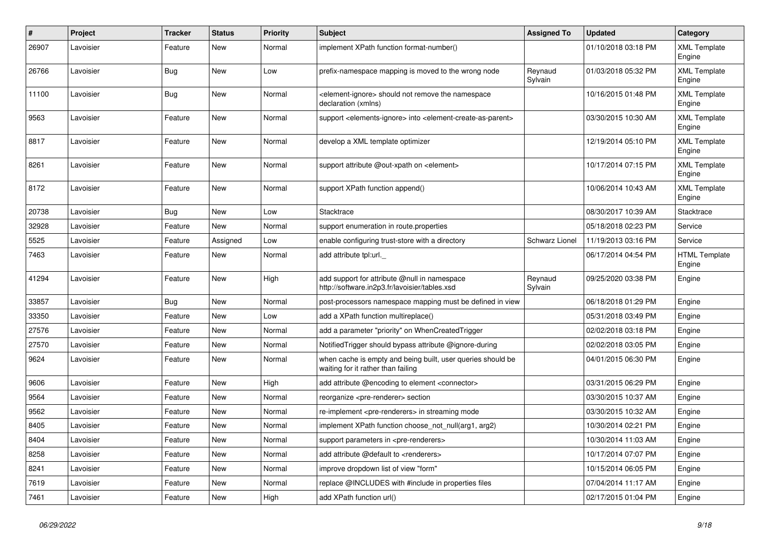| $\pmb{\sharp}$ | Project   | <b>Tracker</b> | <b>Status</b> | <b>Priority</b> | <b>Subject</b>                                                                                         | <b>Assigned To</b>    | <b>Updated</b>      | Category                       |
|----------------|-----------|----------------|---------------|-----------------|--------------------------------------------------------------------------------------------------------|-----------------------|---------------------|--------------------------------|
| 26907          | Lavoisier | Feature        | New           | Normal          | implement XPath function format-number()                                                               |                       | 01/10/2018 03:18 PM | <b>XML Template</b><br>Engine  |
| 26766          | Lavoisier | <b>Bug</b>     | New           | Low             | prefix-namespace mapping is moved to the wrong node                                                    | Reynaud<br>Sylvain    | 01/03/2018 05:32 PM | <b>XML Template</b><br>Engine  |
| 11100          | Lavoisier | <b>Bug</b>     | <b>New</b>    | Normal          | element-ignore> should not remove the namespace<br>declaration (xmlns)                                 |                       | 10/16/2015 01:48 PM | <b>XML Template</b><br>Engine  |
| 9563           | Lavoisier | Feature        | New           | Normal          | support <elements-ignore> into <element-create-as-parent></element-create-as-parent></elements-ignore> |                       | 03/30/2015 10:30 AM | <b>XML Template</b><br>Engine  |
| 8817           | Lavoisier | Feature        | <b>New</b>    | Normal          | develop a XML template optimizer                                                                       |                       | 12/19/2014 05:10 PM | <b>XML Template</b><br>Engine  |
| 8261           | Lavoisier | Feature        | New           | Normal          | support attribute @out-xpath on <element></element>                                                    |                       | 10/17/2014 07:15 PM | <b>XML Template</b><br>Engine  |
| 8172           | Lavoisier | Feature        | New           | Normal          | support XPath function append()                                                                        |                       | 10/06/2014 10:43 AM | <b>XML Template</b><br>Engine  |
| 20738          | Lavoisier | <b>Bug</b>     | <b>New</b>    | Low             | Stacktrace                                                                                             |                       | 08/30/2017 10:39 AM | Stacktrace                     |
| 32928          | Lavoisier | Feature        | New           | Normal          | support enumeration in route properties                                                                |                       | 05/18/2018 02:23 PM | Service                        |
| 5525           | Lavoisier | Feature        | Assigned      | Low             | enable configuring trust-store with a directory                                                        | <b>Schwarz Lionel</b> | 11/19/2013 03:16 PM | Service                        |
| 7463           | Lavoisier | Feature        | New           | Normal          | add attribute tpl:url.                                                                                 |                       | 06/17/2014 04:54 PM | <b>HTML Template</b><br>Engine |
| 41294          | Lavoisier | Feature        | New           | High            | add support for attribute @null in namespace<br>http://software.in2p3.fr/lavoisier/tables.xsd          | Reynaud<br>Sylvain    | 09/25/2020 03:38 PM | Engine                         |
| 33857          | Lavoisier | <b>Bug</b>     | <b>New</b>    | Normal          | post-processors namespace mapping must be defined in view                                              |                       | 06/18/2018 01:29 PM | Engine                         |
| 33350          | Lavoisier | Feature        | <b>New</b>    | Low             | add a XPath function multireplace()                                                                    |                       | 05/31/2018 03:49 PM | Engine                         |
| 27576          | Lavoisier | Feature        | New           | Normal          | add a parameter "priority" on WhenCreatedTrigger                                                       |                       | 02/02/2018 03:18 PM | Engine                         |
| 27570          | Lavoisier | Feature        | New           | Normal          | Notified Trigger should bypass attribute @ignore-during                                                |                       | 02/02/2018 03:05 PM | Engine                         |
| 9624           | Lavoisier | Feature        | New           | Normal          | when cache is empty and being built, user queries should be<br>waiting for it rather than failing      |                       | 04/01/2015 06:30 PM | Engine                         |
| 9606           | Lavoisier | Feature        | New           | High            | add attribute @encoding to element <connector></connector>                                             |                       | 03/31/2015 06:29 PM | Engine                         |
| 9564           | Lavoisier | Feature        | <b>New</b>    | Normal          | reorganize <pre-renderer> section</pre-renderer>                                                       |                       | 03/30/2015 10:37 AM | Engine                         |
| 9562           | Lavoisier | Feature        | <b>New</b>    | Normal          | re-implement <pre-renderers> in streaming mode</pre-renderers>                                         |                       | 03/30/2015 10:32 AM | Engine                         |
| 8405           | Lavoisier | Feature        | <b>New</b>    | Normal          | implement XPath function choose not null(arg1, arg2)                                                   |                       | 10/30/2014 02:21 PM | Engine                         |
| 8404           | Lavoisier | Feature        | New           | Normal          | support parameters in <pre-renderers></pre-renderers>                                                  |                       | 10/30/2014 11:03 AM | Engine                         |
| 8258           | Lavoisier | Feature        | New           | Normal          | add attribute @default to <renderers></renderers>                                                      |                       | 10/17/2014 07:07 PM | Engine                         |
| 8241           | Lavoisier | Feature        | New           | Normal          | improve dropdown list of view "form"                                                                   |                       | 10/15/2014 06:05 PM | Engine                         |
| 7619           | Lavoisier | Feature        | New           | Normal          | replace @INCLUDES with #include in properties files                                                    |                       | 07/04/2014 11:17 AM | Engine                         |
| 7461           | Lavoisier | Feature        | <b>New</b>    | High            | add XPath function url()                                                                               |                       | 02/17/2015 01:04 PM | Engine                         |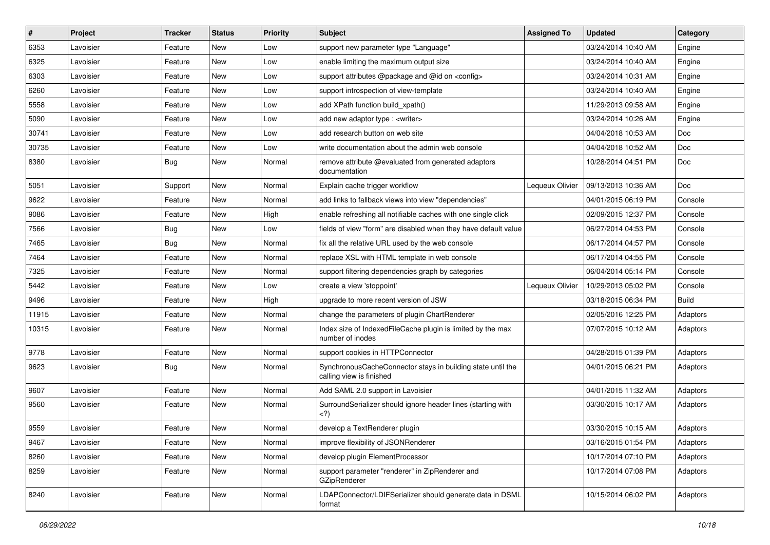| #     | Project   | <b>Tracker</b> | <b>Status</b> | <b>Priority</b> | <b>Subject</b>                                                                          | <b>Assigned To</b> | <b>Updated</b>      | Category     |
|-------|-----------|----------------|---------------|-----------------|-----------------------------------------------------------------------------------------|--------------------|---------------------|--------------|
| 6353  | Lavoisier | Feature        | New           | Low             | support new parameter type "Language"                                                   |                    | 03/24/2014 10:40 AM | Engine       |
| 6325  | Lavoisier | Feature        | <b>New</b>    | Low             | enable limiting the maximum output size                                                 |                    | 03/24/2014 10:40 AM | Engine       |
| 6303  | Lavoisier | Feature        | New           | Low             | support attributes @package and @id on <config></config>                                |                    | 03/24/2014 10:31 AM | Engine       |
| 6260  | Lavoisier | Feature        | New           | Low             | support introspection of view-template                                                  |                    | 03/24/2014 10:40 AM | Engine       |
| 5558  | Lavoisier | Feature        | New           | Low             | add XPath function build_xpath()                                                        |                    | 11/29/2013 09:58 AM | Engine       |
| 5090  | Lavoisier | Feature        | New           | Low             | add new adaptor type : <writer></writer>                                                |                    | 03/24/2014 10:26 AM | Engine       |
| 30741 | Lavoisier | Feature        | New           | Low             | add research button on web site                                                         |                    | 04/04/2018 10:53 AM | Doc          |
| 30735 | Lavoisier | Feature        | New           | Low             | write documentation about the admin web console                                         |                    | 04/04/2018 10:52 AM | Doc          |
| 8380  | Lavoisier | <b>Bug</b>     | New           | Normal          | remove attribute @evaluated from generated adaptors<br>documentation                    |                    | 10/28/2014 04:51 PM | <b>Doc</b>   |
| 5051  | Lavoisier | Support        | <b>New</b>    | Normal          | Explain cache trigger workflow                                                          | Lequeux Olivier    | 09/13/2013 10:36 AM | Doc          |
| 9622  | Lavoisier | Feature        | New           | Normal          | add links to fallback views into view "dependencies"                                    |                    | 04/01/2015 06:19 PM | Console      |
| 9086  | Lavoisier | Feature        | New           | High            | enable refreshing all notifiable caches with one single click                           |                    | 02/09/2015 12:37 PM | Console      |
| 7566  | Lavoisier | <b>Bug</b>     | New           | Low             | fields of view "form" are disabled when they have default value                         |                    | 06/27/2014 04:53 PM | Console      |
| 7465  | Lavoisier | <b>Bug</b>     | <b>New</b>    | Normal          | fix all the relative URL used by the web console                                        |                    | 06/17/2014 04:57 PM | Console      |
| 7464  | Lavoisier | Feature        | New           | Normal          | replace XSL with HTML template in web console                                           |                    | 06/17/2014 04:55 PM | Console      |
| 7325  | Lavoisier | Feature        | New           | Normal          | support filtering dependencies graph by categories                                      |                    | 06/04/2014 05:14 PM | Console      |
| 5442  | Lavoisier | Feature        | New           | Low             | create a view 'stoppoint'                                                               | Lequeux Olivier    | 10/29/2013 05:02 PM | Console      |
| 9496  | Lavoisier | Feature        | New           | High            | upgrade to more recent version of JSW                                                   |                    | 03/18/2015 06:34 PM | <b>Build</b> |
| 11915 | Lavoisier | Feature        | <b>New</b>    | Normal          | change the parameters of plugin ChartRenderer                                           |                    | 02/05/2016 12:25 PM | Adaptors     |
| 10315 | Lavoisier | Feature        | New           | Normal          | Index size of IndexedFileCache plugin is limited by the max<br>number of inodes         |                    | 07/07/2015 10:12 AM | Adaptors     |
| 9778  | Lavoisier | Feature        | <b>New</b>    | Normal          | support cookies in HTTPConnector                                                        |                    | 04/28/2015 01:39 PM | Adaptors     |
| 9623  | Lavoisier | <b>Bug</b>     | New           | Normal          | SynchronousCacheConnector stays in building state until the<br>calling view is finished |                    | 04/01/2015 06:21 PM | Adaptors     |
| 9607  | Lavoisier | Feature        | <b>New</b>    | Normal          | Add SAML 2.0 support in Lavoisier                                                       |                    | 04/01/2015 11:32 AM | Adaptors     |
| 9560  | Lavoisier | Feature        | New           | Normal          | SurroundSerializer should ignore header lines (starting with<br>$^{(2)}$                |                    | 03/30/2015 10:17 AM | Adaptors     |
| 9559  | Lavoisier | Feature        | New           | Normal          | develop a TextRenderer plugin                                                           |                    | 03/30/2015 10:15 AM | Adaptors     |
| 9467  | Lavoisier | Feature        | New           | Normal          | improve flexibility of JSONRenderer                                                     |                    | 03/16/2015 01:54 PM | Adaptors     |
| 8260  | Lavoisier | Feature        | New           | Normal          | develop plugin ElementProcessor                                                         |                    | 10/17/2014 07:10 PM | Adaptors     |
| 8259  | Lavoisier | Feature        | New           | Normal          | support parameter "renderer" in ZipRenderer and<br><b>GZipRenderer</b>                  |                    | 10/17/2014 07:08 PM | Adaptors     |
| 8240  | Lavoisier | Feature        | New           | Normal          | LDAPConnector/LDIFSerializer should generate data in DSML<br>format                     |                    | 10/15/2014 06:02 PM | Adaptors     |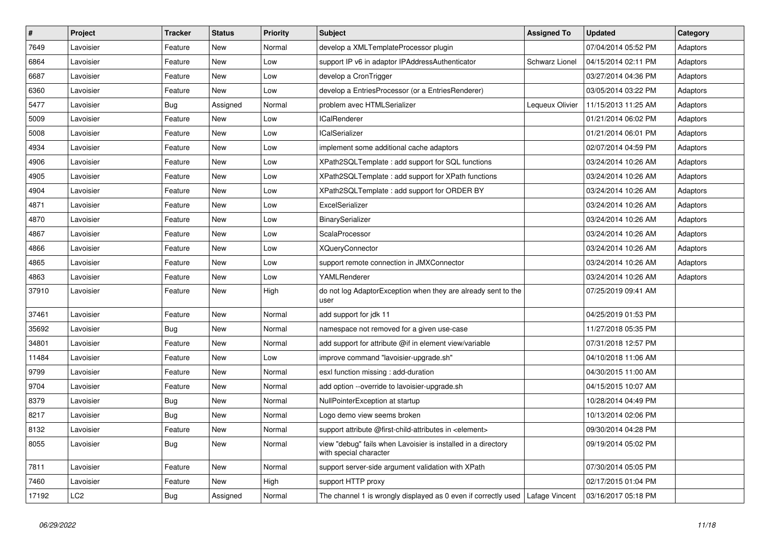| $\vert$ # | Project         | <b>Tracker</b> | <b>Status</b> | <b>Priority</b> | <b>Subject</b>                                                                          | <b>Assigned To</b>    | <b>Updated</b>      | Category |
|-----------|-----------------|----------------|---------------|-----------------|-----------------------------------------------------------------------------------------|-----------------------|---------------------|----------|
| 7649      | Lavoisier       | Feature        | New           | Normal          | develop a XMLTemplateProcessor plugin                                                   |                       | 07/04/2014 05:52 PM | Adaptors |
| 6864      | Lavoisier       | Feature        | New           | Low             | support IP v6 in adaptor IPAddressAuthenticator                                         | <b>Schwarz Lionel</b> | 04/15/2014 02:11 PM | Adaptors |
| 6687      | Lavoisier       | Feature        | New           | Low             | develop a CronTrigger                                                                   |                       | 03/27/2014 04:36 PM | Adaptors |
| 6360      | Lavoisier       | Feature        | New           | Low             | develop a EntriesProcessor (or a EntriesRenderer)                                       |                       | 03/05/2014 03:22 PM | Adaptors |
| 5477      | Lavoisier       | Bug            | Assigned      | Normal          | problem avec HTMLSerializer                                                             | Lequeux Olivier       | 11/15/2013 11:25 AM | Adaptors |
| 5009      | Lavoisier       | Feature        | New           | Low             | ICalRenderer                                                                            |                       | 01/21/2014 06:02 PM | Adaptors |
| 5008      | Lavoisier       | Feature        | New           | Low             | ICalSerializer                                                                          |                       | 01/21/2014 06:01 PM | Adaptors |
| 4934      | Lavoisier       | Feature        | <b>New</b>    | Low             | implement some additional cache adaptors                                                |                       | 02/07/2014 04:59 PM | Adaptors |
| 4906      | Lavoisier       | Feature        | New           | Low             | XPath2SQLTemplate: add support for SQL functions                                        |                       | 03/24/2014 10:26 AM | Adaptors |
| 4905      | Lavoisier       | Feature        | New           | Low             | XPath2SQLTemplate : add support for XPath functions                                     |                       | 03/24/2014 10:26 AM | Adaptors |
| 4904      | Lavoisier       | Feature        | <b>New</b>    | Low             | XPath2SQLTemplate : add support for ORDER BY                                            |                       | 03/24/2014 10:26 AM | Adaptors |
| 4871      | Lavoisier       | Feature        | <b>New</b>    | Low             | ExcelSerializer                                                                         |                       | 03/24/2014 10:26 AM | Adaptors |
| 4870      | Lavoisier       | Feature        | New           | Low             | BinarySerializer                                                                        |                       | 03/24/2014 10:26 AM | Adaptors |
| 4867      | Lavoisier       | Feature        | <b>New</b>    | Low             | ScalaProcessor                                                                          |                       | 03/24/2014 10:26 AM | Adaptors |
| 4866      | Lavoisier       | Feature        | <b>New</b>    | Low             | <b>XQueryConnector</b>                                                                  |                       | 03/24/2014 10:26 AM | Adaptors |
| 4865      | Lavoisier       | Feature        | <b>New</b>    | Low             | support remote connection in JMXConnector                                               |                       | 03/24/2014 10:26 AM | Adaptors |
| 4863      | Lavoisier       | Feature        | <b>New</b>    | Low             | YAMLRenderer                                                                            |                       | 03/24/2014 10:26 AM | Adaptors |
| 37910     | Lavoisier       | Feature        | <b>New</b>    | High            | do not log AdaptorException when they are already sent to the<br>user                   |                       | 07/25/2019 09:41 AM |          |
| 37461     | Lavoisier       | Feature        | New           | Normal          | add support for jdk 11                                                                  |                       | 04/25/2019 01:53 PM |          |
| 35692     | Lavoisier       | Bug            | New           | Normal          | namespace not removed for a given use-case                                              |                       | 11/27/2018 05:35 PM |          |
| 34801     | Lavoisier       | Feature        | New           | Normal          | add support for attribute @if in element view/variable                                  |                       | 07/31/2018 12:57 PM |          |
| 11484     | Lavoisier       | Feature        | New           | Low             | improve command "lavoisier-upgrade.sh"                                                  |                       | 04/10/2018 11:06 AM |          |
| 9799      | Lavoisier       | Feature        | New           | Normal          | esxl function missing: add-duration                                                     |                       | 04/30/2015 11:00 AM |          |
| 9704      | Lavoisier       | Feature        | New           | Normal          | add option --override to lavoisier-upgrade.sh                                           |                       | 04/15/2015 10:07 AM |          |
| 8379      | Lavoisier       | <b>Bug</b>     | New           | Normal          | NullPointerException at startup                                                         |                       | 10/28/2014 04:49 PM |          |
| 8217      | Lavoisier       | Bug            | <b>New</b>    | Normal          | Logo demo view seems broken                                                             |                       | 10/13/2014 02:06 PM |          |
| 8132      | Lavoisier       | Feature        | New           | Normal          | support attribute @first-child-attributes in <element></element>                        |                       | 09/30/2014 04:28 PM |          |
| 8055      | Lavoisier       | <b>Bug</b>     | New           | Normal          | view "debug" fails when Lavoisier is installed in a directory<br>with special character |                       | 09/19/2014 05:02 PM |          |
| 7811      | Lavoisier       | Feature        | <b>New</b>    | Normal          | support server-side argument validation with XPath                                      |                       | 07/30/2014 05:05 PM |          |
| 7460      | Lavoisier       | Feature        | New           | High            | support HTTP proxy                                                                      |                       | 02/17/2015 01:04 PM |          |
| 17192     | LC <sub>2</sub> | <b>Bug</b>     | Assigned      | Normal          | The channel 1 is wrongly displayed as 0 even if correctly used   Lafage Vincent         |                       | 03/16/2017 05:18 PM |          |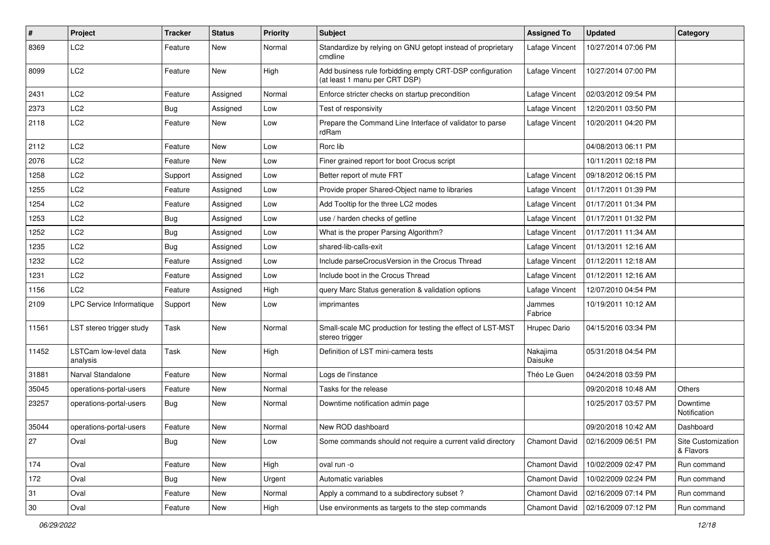| #     | Project                           | <b>Tracker</b> | <b>Status</b> | <b>Priority</b> | Subject                                                                                   | <b>Assigned To</b>   | <b>Updated</b>      | Category                        |
|-------|-----------------------------------|----------------|---------------|-----------------|-------------------------------------------------------------------------------------------|----------------------|---------------------|---------------------------------|
| 8369  | LC <sub>2</sub>                   | Feature        | New           | Normal          | Standardize by relying on GNU getopt instead of proprietary<br>cmdline                    | Lafage Vincent       | 10/27/2014 07:06 PM |                                 |
| 8099  | LC <sub>2</sub>                   | Feature        | New           | High            | Add business rule forbidding empty CRT-DSP configuration<br>(at least 1 manu per CRT DSP) | Lafage Vincent       | 10/27/2014 07:00 PM |                                 |
| 2431  | LC <sub>2</sub>                   | Feature        | Assigned      | Normal          | Enforce stricter checks on startup precondition                                           | Lafage Vincent       | 02/03/2012 09:54 PM |                                 |
| 2373  | LC <sub>2</sub>                   | <b>Bug</b>     | Assigned      | Low             | Test of responsivity                                                                      | Lafage Vincent       | 12/20/2011 03:50 PM |                                 |
| 2118  | LC <sub>2</sub>                   | Feature        | New           | Low             | Prepare the Command Line Interface of validator to parse<br>rdRam                         | Lafage Vincent       | 10/20/2011 04:20 PM |                                 |
| 2112  | LC <sub>2</sub>                   | Feature        | New           | Low             | Rorc lib                                                                                  |                      | 04/08/2013 06:11 PM |                                 |
| 2076  | LC <sub>2</sub>                   | Feature        | <b>New</b>    | Low             | Finer grained report for boot Crocus script                                               |                      | 10/11/2011 02:18 PM |                                 |
| 1258  | LC2                               | Support        | Assigned      | Low             | Better report of mute FRT                                                                 | Lafage Vincent       | 09/18/2012 06:15 PM |                                 |
| 1255  | LC <sub>2</sub>                   | Feature        | Assigned      | Low             | Provide proper Shared-Object name to libraries                                            | Lafage Vincent       | 01/17/2011 01:39 PM |                                 |
| 1254  | LC <sub>2</sub>                   | Feature        | Assigned      | Low             | Add Tooltip for the three LC2 modes                                                       | Lafage Vincent       | 01/17/2011 01:34 PM |                                 |
| 1253  | LC <sub>2</sub>                   | <b>Bug</b>     | Assigned      | Low             | use / harden checks of getline                                                            | Lafage Vincent       | 01/17/2011 01:32 PM |                                 |
| 1252  | LC <sub>2</sub>                   | <b>Bug</b>     | Assigned      | Low             | What is the proper Parsing Algorithm?                                                     | Lafage Vincent       | 01/17/2011 11:34 AM |                                 |
| 1235  | LC <sub>2</sub>                   | <b>Bug</b>     | Assigned      | Low             | shared-lib-calls-exit                                                                     | Lafage Vincent       | 01/13/2011 12:16 AM |                                 |
| 1232  | LC <sub>2</sub>                   | Feature        | Assigned      | Low             | Include parseCrocusVersion in the Crocus Thread                                           | Lafage Vincent       | 01/12/2011 12:18 AM |                                 |
| 1231  | LC <sub>2</sub>                   | Feature        | Assigned      | Low             | Include boot in the Crocus Thread                                                         | Lafage Vincent       | 01/12/2011 12:16 AM |                                 |
| 1156  | LC <sub>2</sub>                   | Feature        | Assigned      | High            | query Marc Status generation & validation options                                         | Lafage Vincent       | 12/07/2010 04:54 PM |                                 |
| 2109  | LPC Service Informatique          | Support        | <b>New</b>    | Low             | imprimantes                                                                               | Jammes<br>Fabrice    | 10/19/2011 10:12 AM |                                 |
| 11561 | LST stereo trigger study          | Task           | New           | Normal          | Small-scale MC production for testing the effect of LST-MST<br>stereo trigger             | Hrupec Dario         | 04/15/2016 03:34 PM |                                 |
| 11452 | LSTCam low-level data<br>analysis | Task           | <b>New</b>    | High            | Definition of LST mini-camera tests                                                       | Nakajima<br>Daisuke  | 05/31/2018 04:54 PM |                                 |
| 31881 | Narval Standalone                 | Feature        | <b>New</b>    | Normal          | Logs de l'instance                                                                        | Théo Le Guen         | 04/24/2018 03:59 PM |                                 |
| 35045 | operations-portal-users           | Feature        | New           | Normal          | Tasks for the release                                                                     |                      | 09/20/2018 10:48 AM | <b>Others</b>                   |
| 23257 | operations-portal-users           | <b>Bug</b>     | New           | Normal          | Downtime notification admin page                                                          |                      | 10/25/2017 03:57 PM | Downtime<br>Notification        |
| 35044 | operations-portal-users           | Feature        | New           | Normal          | New ROD dashboard                                                                         |                      | 09/20/2018 10:42 AM | Dashboard                       |
| 27    | Oval                              | <b>Bug</b>     | New           | Low             | Some commands should not require a current valid directory                                | <b>Chamont David</b> | 02/16/2009 06:51 PM | Site Customization<br>& Flavors |
| 174   | Oval                              | Feature        | New           | High            | oval run -o                                                                               | <b>Chamont David</b> | 10/02/2009 02:47 PM | Run command                     |
| 172   | Oval                              | Bug            | New           | Urgent          | Automatic variables                                                                       | Chamont David        | 10/02/2009 02:24 PM | Run command                     |
| 31    | Oval                              | Feature        | New           | Normal          | Apply a command to a subdirectory subset?                                                 | Chamont David        | 02/16/2009 07:14 PM | Run command                     |
| 30    | Oval                              | Feature        | New           | High            | Use environments as targets to the step commands                                          | <b>Chamont David</b> | 02/16/2009 07:12 PM | Run command                     |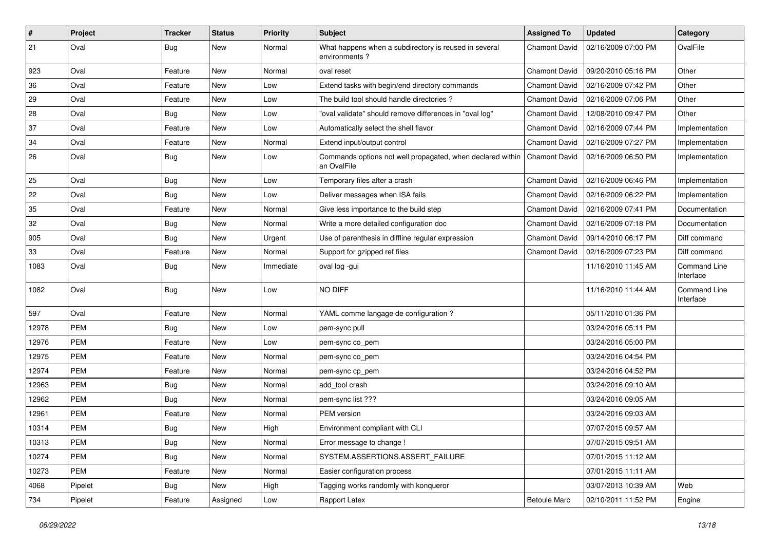| $\pmb{\#}$ | Project    | <b>Tracker</b> | <b>Status</b> | <b>Priority</b> | Subject                                                                   | <b>Assigned To</b>   | <b>Updated</b>      | Category                         |
|------------|------------|----------------|---------------|-----------------|---------------------------------------------------------------------------|----------------------|---------------------|----------------------------------|
| 21         | Oval       | Bug            | New           | Normal          | What happens when a subdirectory is reused in several<br>environments?    | Chamont David        | 02/16/2009 07:00 PM | OvalFile                         |
| 923        | Oval       | Feature        | New           | Normal          | oval reset                                                                | <b>Chamont David</b> | 09/20/2010 05:16 PM | Other                            |
| 36         | Oval       | Feature        | <b>New</b>    | Low             | Extend tasks with begin/end directory commands                            | <b>Chamont David</b> | 02/16/2009 07:42 PM | Other                            |
| 29         | Oval       | Feature        | <b>New</b>    | Low             | The build tool should handle directories?                                 | <b>Chamont David</b> | 02/16/2009 07:06 PM | Other                            |
| 28         | Oval       | <b>Bug</b>     | <b>New</b>    | Low             | "oval validate" should remove differences in "oval log"                   | <b>Chamont David</b> | 12/08/2010 09:47 PM | Other                            |
| 37         | Oval       | Feature        | <b>New</b>    | Low             | Automatically select the shell flavor                                     | <b>Chamont David</b> | 02/16/2009 07:44 PM | Implementation                   |
| 34         | Oval       | Feature        | New           | Normal          | Extend input/output control                                               | <b>Chamont David</b> | 02/16/2009 07:27 PM | Implementation                   |
| 26         | Oval       | <b>Bug</b>     | New           | Low             | Commands options not well propagated, when declared within<br>an OvalFile | <b>Chamont David</b> | 02/16/2009 06:50 PM | Implementation                   |
| 25         | Oval       | <b>Bug</b>     | New           | Low             | Temporary files after a crash                                             | <b>Chamont David</b> | 02/16/2009 06:46 PM | Implementation                   |
| 22         | Oval       | <b>Bug</b>     | <b>New</b>    | Low             | Deliver messages when ISA fails                                           | <b>Chamont David</b> | 02/16/2009 06:22 PM | Implementation                   |
| 35         | Oval       | Feature        | <b>New</b>    | Normal          | Give less importance to the build step                                    | Chamont David        | 02/16/2009 07:41 PM | Documentation                    |
| 32         | Oval       | <b>Bug</b>     | New           | Normal          | Write a more detailed configuration doc                                   | Chamont David        | 02/16/2009 07:18 PM | Documentation                    |
| 905        | Oval       | <b>Bug</b>     | <b>New</b>    | Urgent          | Use of parenthesis in diffline regular expression                         | <b>Chamont David</b> | 09/14/2010 06:17 PM | Diff command                     |
| 33         | Oval       | Feature        | New           | Normal          | Support for gzipped ref files                                             | Chamont David        | 02/16/2009 07:23 PM | Diff command                     |
| 1083       | Oval       | <b>Bug</b>     | New           | Immediate       | oval log -gui                                                             |                      | 11/16/2010 11:45 AM | <b>Command Line</b><br>Interface |
| 1082       | Oval       | Bug            | New           | Low             | NO DIFF                                                                   |                      | 11/16/2010 11:44 AM | <b>Command Line</b><br>Interface |
| 597        | Oval       | Feature        | <b>New</b>    | Normal          | YAML comme langage de configuration?                                      |                      | 05/11/2010 01:36 PM |                                  |
| 12978      | PEM        | <b>Bug</b>     | New           | Low             | pem-sync pull                                                             |                      | 03/24/2016 05:11 PM |                                  |
| 12976      | <b>PEM</b> | Feature        | <b>New</b>    | Low             | pem-sync co_pem                                                           |                      | 03/24/2016 05:00 PM |                                  |
| 12975      | <b>PEM</b> | Feature        | New           | Normal          | pem-sync co_pem                                                           |                      | 03/24/2016 04:54 PM |                                  |
| 12974      | <b>PEM</b> | Feature        | New           | Normal          | pem-sync cp_pem                                                           |                      | 03/24/2016 04:52 PM |                                  |
| 12963      | PEM        | <b>Bug</b>     | <b>New</b>    | Normal          | add tool crash                                                            |                      | 03/24/2016 09:10 AM |                                  |
| 12962      | PEM        | <b>Bug</b>     | New           | Normal          | pem-sync list ???                                                         |                      | 03/24/2016 09:05 AM |                                  |
| 12961      | <b>PEM</b> | Feature        | New           | Normal          | PEM version                                                               |                      | 03/24/2016 09:03 AM |                                  |
| 10314      | <b>PEM</b> | <b>Bug</b>     | New           | High            | Environment compliant with CLI                                            |                      | 07/07/2015 09:57 AM |                                  |
| 10313      | PEM        | <b>Bug</b>     | New           | Normal          | Error message to change !                                                 |                      | 07/07/2015 09:51 AM |                                  |
| 10274      | PEM        | Bug            | New           | Normal          | SYSTEM.ASSERTIONS.ASSERT_FAILURE                                          |                      | 07/01/2015 11:12 AM |                                  |
| 10273      | <b>PEM</b> | Feature        | New           | Normal          | Easier configuration process                                              |                      | 07/01/2015 11:11 AM |                                  |
| 4068       | Pipelet    | <b>Bug</b>     | New           | High            | Tagging works randomly with kongueror                                     |                      | 03/07/2013 10:39 AM | Web                              |
| 734        | Pipelet    | Feature        | Assigned      | Low             | Rapport Latex                                                             | <b>Betoule Marc</b>  | 02/10/2011 11:52 PM | Engine                           |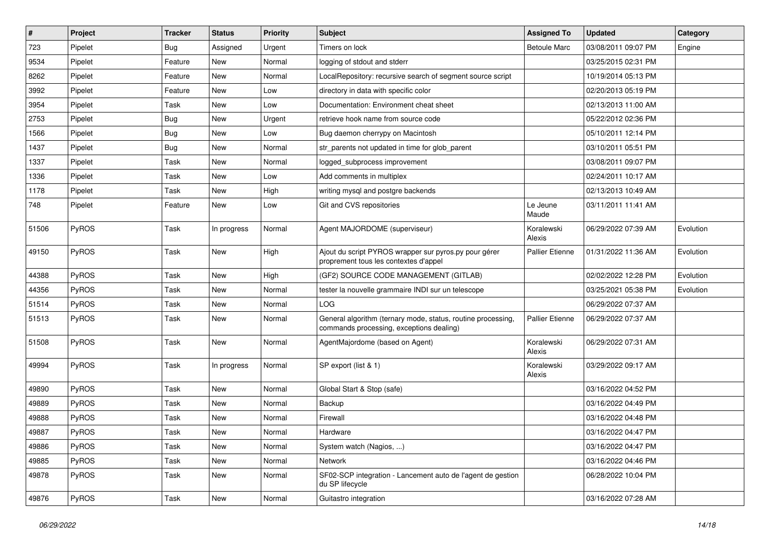| $\sharp$ | Project | <b>Tracker</b> | <b>Status</b> | <b>Priority</b> | Subject                                                                                                  | <b>Assigned To</b>     | <b>Updated</b>      | Category  |
|----------|---------|----------------|---------------|-----------------|----------------------------------------------------------------------------------------------------------|------------------------|---------------------|-----------|
| 723      | Pipelet | Bug            | Assigned      | Urgent          | Timers on lock                                                                                           | <b>Betoule Marc</b>    | 03/08/2011 09:07 PM | Engine    |
| 9534     | Pipelet | Feature        | <b>New</b>    | Normal          | logging of stdout and stderr                                                                             |                        | 03/25/2015 02:31 PM |           |
| 8262     | Pipelet | Feature        | New           | Normal          | LocalRepository: recursive search of segment source script                                               |                        | 10/19/2014 05:13 PM |           |
| 3992     | Pipelet | Feature        | <b>New</b>    | Low             | directory in data with specific color                                                                    |                        | 02/20/2013 05:19 PM |           |
| 3954     | Pipelet | Task           | <b>New</b>    | Low             | Documentation: Environment cheat sheet                                                                   |                        | 02/13/2013 11:00 AM |           |
| 2753     | Pipelet | Bug            | <b>New</b>    | Urgent          | retrieve hook name from source code                                                                      |                        | 05/22/2012 02:36 PM |           |
| 1566     | Pipelet | <b>Bug</b>     | <b>New</b>    | Low             | Bug daemon cherrypy on Macintosh                                                                         |                        | 05/10/2011 12:14 PM |           |
| 1437     | Pipelet | Bug            | New           | Normal          | str parents not updated in time for glob parent                                                          |                        | 03/10/2011 05:51 PM |           |
| 1337     | Pipelet | Task           | <b>New</b>    | Normal          | logged_subprocess improvement                                                                            |                        | 03/08/2011 09:07 PM |           |
| 1336     | Pipelet | Task           | <b>New</b>    | Low             | Add comments in multiplex                                                                                |                        | 02/24/2011 10:17 AM |           |
| 1178     | Pipelet | Task           | <b>New</b>    | High            | writing mysql and postgre backends                                                                       |                        | 02/13/2013 10:49 AM |           |
| 748      | Pipelet | Feature        | <b>New</b>    | Low             | Git and CVS repositories                                                                                 | Le Jeune<br>Maude      | 03/11/2011 11:41 AM |           |
| 51506    | PyROS   | Task           | In progress   | Normal          | Agent MAJORDOME (superviseur)                                                                            | Koralewski<br>Alexis   | 06/29/2022 07:39 AM | Evolution |
| 49150    | PyROS   | Task           | New           | High            | Ajout du script PYROS wrapper sur pyros.py pour gérer<br>proprement tous les contextes d'appel           | <b>Pallier Etienne</b> | 01/31/2022 11:36 AM | Evolution |
| 44388    | PyROS   | Task           | <b>New</b>    | High            | (GF2) SOURCE CODE MANAGEMENT (GITLAB)                                                                    |                        | 02/02/2022 12:28 PM | Evolution |
| 44356    | PyROS   | Task           | <b>New</b>    | Normal          | tester la nouvelle grammaire INDI sur un telescope                                                       |                        | 03/25/2021 05:38 PM | Evolution |
| 51514    | PyROS   | Task           | <b>New</b>    | Normal          | LOG                                                                                                      |                        | 06/29/2022 07:37 AM |           |
| 51513    | PyROS   | Task           | New           | Normal          | General algorithm (ternary mode, status, routine processing,<br>commands processing, exceptions dealing) | <b>Pallier Etienne</b> | 06/29/2022 07:37 AM |           |
| 51508    | PyROS   | Task           | New           | Normal          | AgentMajordome (based on Agent)                                                                          | Koralewski<br>Alexis   | 06/29/2022 07:31 AM |           |
| 49994    | PyROS   | Task           | In progress   | Normal          | SP export (list & 1)                                                                                     | Koralewski<br>Alexis   | 03/29/2022 09:17 AM |           |
| 49890    | PyROS   | Task           | New           | Normal          | Global Start & Stop (safe)                                                                               |                        | 03/16/2022 04:52 PM |           |
| 49889    | PyROS   | Task           | <b>New</b>    | Normal          | Backup                                                                                                   |                        | 03/16/2022 04:49 PM |           |
| 49888    | PyROS   | Task           | <b>New</b>    | Normal          | Firewall                                                                                                 |                        | 03/16/2022 04:48 PM |           |
| 49887    | PyROS   | Task           | <b>New</b>    | Normal          | Hardware                                                                                                 |                        | 03/16/2022 04:47 PM |           |
| 49886    | PyROS   | Task           | New           | Normal          | System watch (Nagios, )                                                                                  |                        | 03/16/2022 04:47 PM |           |
| 49885    | PyROS   | Task           | New           | Normal          | Network                                                                                                  |                        | 03/16/2022 04:46 PM |           |
| 49878    | PyROS   | Task           | New           | Normal          | SF02-SCP integration - Lancement auto de l'agent de gestion<br>du SP lifecycle                           |                        | 06/28/2022 10:04 PM |           |
| 49876    | PyROS   | Task           | New           | Normal          | Guitastro integration                                                                                    |                        | 03/16/2022 07:28 AM |           |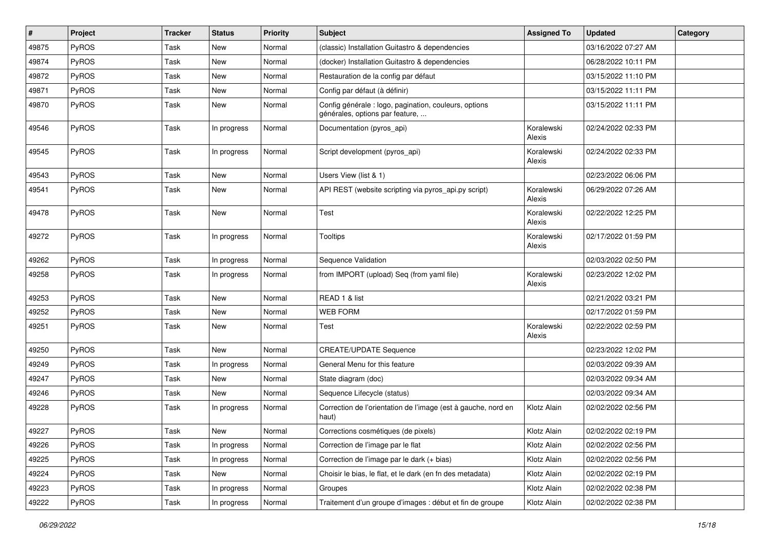| #     | Project      | <b>Tracker</b> | <b>Status</b> | <b>Priority</b> | Subject                                                                                  | <b>Assigned To</b>   | <b>Updated</b>      | Category |
|-------|--------------|----------------|---------------|-----------------|------------------------------------------------------------------------------------------|----------------------|---------------------|----------|
| 49875 | PyROS        | Task           | New           | Normal          | (classic) Installation Guitastro & dependencies                                          |                      | 03/16/2022 07:27 AM |          |
| 49874 | PyROS        | Task           | New           | Normal          | (docker) Installation Guitastro & dependencies                                           |                      | 06/28/2022 10:11 PM |          |
| 49872 | PyROS        | Task           | New           | Normal          | Restauration de la config par défaut                                                     |                      | 03/15/2022 11:10 PM |          |
| 49871 | PyROS        | Task           | New           | Normal          | Config par défaut (à définir)                                                            |                      | 03/15/2022 11:11 PM |          |
| 49870 | PyROS        | Task           | New           | Normal          | Config générale : logo, pagination, couleurs, options<br>générales, options par feature, |                      | 03/15/2022 11:11 PM |          |
| 49546 | PyROS        | Task           | In progress   | Normal          | Documentation (pyros_api)                                                                | Koralewski<br>Alexis | 02/24/2022 02:33 PM |          |
| 49545 | PyROS        | Task           | In progress   | Normal          | Script development (pyros_api)                                                           | Koralewski<br>Alexis | 02/24/2022 02:33 PM |          |
| 49543 | PyROS        | Task           | New           | Normal          | Users View (list & 1)                                                                    |                      | 02/23/2022 06:06 PM |          |
| 49541 | PyROS        | Task           | New           | Normal          | API REST (website scripting via pyros_api.py script)                                     | Koralewski<br>Alexis | 06/29/2022 07:26 AM |          |
| 49478 | PyROS        | Task           | New           | Normal          | Test                                                                                     | Koralewski<br>Alexis | 02/22/2022 12:25 PM |          |
| 49272 | PyROS        | Task           | In progress   | Normal          | <b>Tooltips</b>                                                                          | Koralewski<br>Alexis | 02/17/2022 01:59 PM |          |
| 49262 | PyROS        | Task           | In progress   | Normal          | Sequence Validation                                                                      |                      | 02/03/2022 02:50 PM |          |
| 49258 | PyROS        | Task           | In progress   | Normal          | from IMPORT (upload) Seq (from yaml file)                                                | Koralewski<br>Alexis | 02/23/2022 12:02 PM |          |
| 49253 | PyROS        | Task           | New           | Normal          | READ 1 & list                                                                            |                      | 02/21/2022 03:21 PM |          |
| 49252 | <b>PyROS</b> | Task           | New           | Normal          | <b>WEB FORM</b>                                                                          |                      | 02/17/2022 01:59 PM |          |
| 49251 | PyROS        | Task           | New           | Normal          | Test                                                                                     | Koralewski<br>Alexis | 02/22/2022 02:59 PM |          |
| 49250 | PyROS        | Task           | New           | Normal          | <b>CREATE/UPDATE Sequence</b>                                                            |                      | 02/23/2022 12:02 PM |          |
| 49249 | PyROS        | Task           | In progress   | Normal          | General Menu for this feature                                                            |                      | 02/03/2022 09:39 AM |          |
| 49247 | PyROS        | Task           | New           | Normal          | State diagram (doc)                                                                      |                      | 02/03/2022 09:34 AM |          |
| 49246 | PyROS        | Task           | New           | Normal          | Sequence Lifecycle (status)                                                              |                      | 02/03/2022 09:34 AM |          |
| 49228 | PyROS        | Task           | In progress   | Normal          | Correction de l'orientation de l'image (est à gauche, nord en<br>haut)                   | Klotz Alain          | 02/02/2022 02:56 PM |          |
| 49227 | PyROS        | Task           | New           | Normal          | Corrections cosmétiques (de pixels)                                                      | Klotz Alain          | 02/02/2022 02:19 PM |          |
| 49226 | PyROS        | Task           | In progress   | Normal          | Correction de l'image par le flat                                                        | Klotz Alain          | 02/02/2022 02:56 PM |          |
| 49225 | PyROS        | Task           | In progress   | Normal          | Correction de l'image par le dark (+ bias)                                               | Klotz Alain          | 02/02/2022 02:56 PM |          |
| 49224 | PyROS        | Task           | New           | Normal          | Choisir le bias, le flat, et le dark (en fn des metadata)                                | Klotz Alain          | 02/02/2022 02:19 PM |          |
| 49223 | PyROS        | Task           | In progress   | Normal          | Groupes                                                                                  | Klotz Alain          | 02/02/2022 02:38 PM |          |
| 49222 | PyROS        | Task           | In progress   | Normal          | Traitement d'un groupe d'images : début et fin de groupe                                 | Klotz Alain          | 02/02/2022 02:38 PM |          |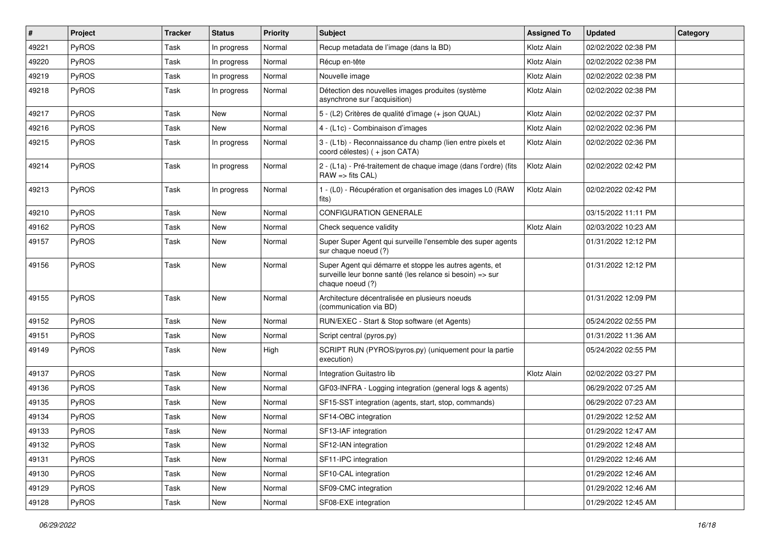| #     | Project      | Tracker | <b>Status</b> | <b>Priority</b> | <b>Subject</b>                                                                                                                           | <b>Assigned To</b> | <b>Updated</b>      | Category |
|-------|--------------|---------|---------------|-----------------|------------------------------------------------------------------------------------------------------------------------------------------|--------------------|---------------------|----------|
| 49221 | PyROS        | Task    | In progress   | Normal          | Recup metadata de l'image (dans la BD)                                                                                                   | Klotz Alain        | 02/02/2022 02:38 PM |          |
| 49220 | PyROS        | Task    | In progress   | Normal          | Récup en-tête                                                                                                                            | Klotz Alain        | 02/02/2022 02:38 PM |          |
| 49219 | <b>PyROS</b> | Task    | In progress   | Normal          | Nouvelle image                                                                                                                           | Klotz Alain        | 02/02/2022 02:38 PM |          |
| 49218 | PyROS        | Task    | In progress   | Normal          | Détection des nouvelles images produites (système<br>asynchrone sur l'acquisition)                                                       | Klotz Alain        | 02/02/2022 02:38 PM |          |
| 49217 | <b>PyROS</b> | Task    | New           | Normal          | 5 - (L2) Critères de qualité d'image (+ json QUAL)                                                                                       | Klotz Alain        | 02/02/2022 02:37 PM |          |
| 49216 | PyROS        | Task    | <b>New</b>    | Normal          | 4 - (L1c) - Combinaison d'images                                                                                                         | Klotz Alain        | 02/02/2022 02:36 PM |          |
| 49215 | PyROS        | Task    | In progress   | Normal          | 3 - (L1b) - Reconnaissance du champ (lien entre pixels et<br>coord célestes) (+ json CATA)                                               | Klotz Alain        | 02/02/2022 02:36 PM |          |
| 49214 | PyROS        | Task    | In progress   | Normal          | 2 - (L1a) - Pré-traitement de chaque image (dans l'ordre) (fits<br>$RAW \Rightarrow fits CAL$                                            | Klotz Alain        | 02/02/2022 02:42 PM |          |
| 49213 | PyROS        | Task    | In progress   | Normal          | 1 - (L0) - Récupération et organisation des images L0 (RAW<br>fits)                                                                      | Klotz Alain        | 02/02/2022 02:42 PM |          |
| 49210 | PyROS        | Task    | New           | Normal          | <b>CONFIGURATION GENERALE</b>                                                                                                            |                    | 03/15/2022 11:11 PM |          |
| 49162 | PyROS        | Task    | New           | Normal          | Check sequence validity                                                                                                                  | Klotz Alain        | 02/03/2022 10:23 AM |          |
| 49157 | PyROS        | Task    | New           | Normal          | Super Super Agent qui surveille l'ensemble des super agents<br>sur chaque noeud (?)                                                      |                    | 01/31/2022 12:12 PM |          |
| 49156 | PyROS        | Task    | <b>New</b>    | Normal          | Super Agent qui démarre et stoppe les autres agents, et<br>surveille leur bonne santé (les relance si besoin) => sur<br>chaque noeud (?) |                    | 01/31/2022 12:12 PM |          |
| 49155 | PyROS        | Task    | New           | Normal          | Architecture décentralisée en plusieurs noeuds<br>(communication via BD)                                                                 |                    | 01/31/2022 12:09 PM |          |
| 49152 | <b>PyROS</b> | Task    | New           | Normal          | RUN/EXEC - Start & Stop software (et Agents)                                                                                             |                    | 05/24/2022 02:55 PM |          |
| 49151 | PyROS        | Task    | New           | Normal          | Script central (pyros.py)                                                                                                                |                    | 01/31/2022 11:36 AM |          |
| 49149 | PyROS        | Task    | New           | High            | SCRIPT RUN (PYROS/pyros.py) (uniquement pour la partie<br>execution)                                                                     |                    | 05/24/2022 02:55 PM |          |
| 49137 | PyROS        | Task    | New           | Normal          | Integration Guitastro lib                                                                                                                | Klotz Alain        | 02/02/2022 03:27 PM |          |
| 49136 | PyROS        | Task    | New           | Normal          | GF03-INFRA - Logging integration (general logs & agents)                                                                                 |                    | 06/29/2022 07:25 AM |          |
| 49135 | PyROS        | Task    | New           | Normal          | SF15-SST integration (agents, start, stop, commands)                                                                                     |                    | 06/29/2022 07:23 AM |          |
| 49134 | <b>PyROS</b> | Task    | New           | Normal          | SF14-OBC integration                                                                                                                     |                    | 01/29/2022 12:52 AM |          |
| 49133 | PyROS        | Task    | New           | Normal          | SF13-IAF integration                                                                                                                     |                    | 01/29/2022 12:47 AM |          |
| 49132 | PyROS        | Task    | New           | Normal          | SF12-IAN integration                                                                                                                     |                    | 01/29/2022 12:48 AM |          |
| 49131 | PyROS        | Task    | New           | Normal          | SF11-IPC integration                                                                                                                     |                    | 01/29/2022 12:46 AM |          |
| 49130 | PyROS        | Task    | New           | Normal          | SF10-CAL integration                                                                                                                     |                    | 01/29/2022 12:46 AM |          |
| 49129 | PyROS        | Task    | New           | Normal          | SF09-CMC integration                                                                                                                     |                    | 01/29/2022 12:46 AM |          |
| 49128 | PyROS        | Task    | New           | Normal          | SF08-EXE integration                                                                                                                     |                    | 01/29/2022 12:45 AM |          |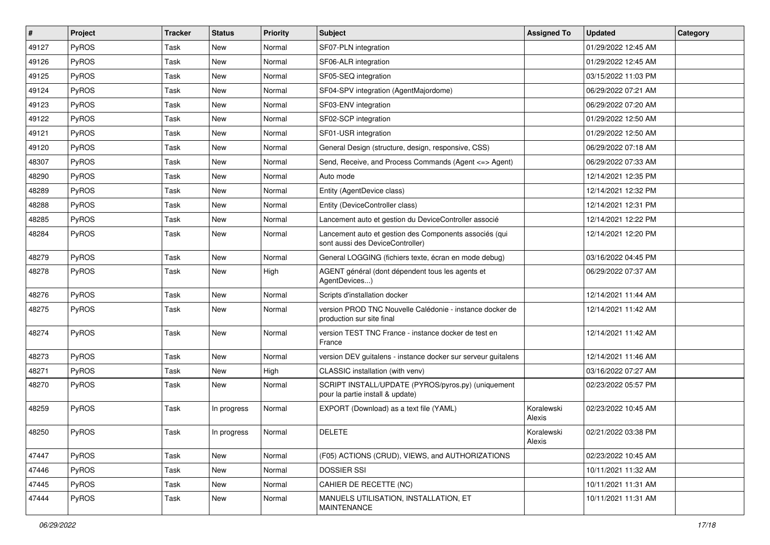| #     | Project      | Tracker | <b>Status</b> | <b>Priority</b> | Subject                                                                                    | <b>Assigned To</b>   | <b>Updated</b>      | Category |
|-------|--------------|---------|---------------|-----------------|--------------------------------------------------------------------------------------------|----------------------|---------------------|----------|
| 49127 | <b>PyROS</b> | Task    | New           | Normal          | SF07-PLN integration                                                                       |                      | 01/29/2022 12:45 AM |          |
| 49126 | <b>PyROS</b> | Task    | <b>New</b>    | Normal          | SF06-ALR integration                                                                       |                      | 01/29/2022 12:45 AM |          |
| 49125 | <b>PyROS</b> | Task    | New           | Normal          | SF05-SEQ integration                                                                       |                      | 03/15/2022 11:03 PM |          |
| 49124 | <b>PyROS</b> | Task    | <b>New</b>    | Normal          | SF04-SPV integration (AgentMajordome)                                                      |                      | 06/29/2022 07:21 AM |          |
| 49123 | <b>PyROS</b> | Task    | <b>New</b>    | Normal          | SF03-ENV integration                                                                       |                      | 06/29/2022 07:20 AM |          |
| 49122 | <b>PyROS</b> | Task    | <b>New</b>    | Normal          | SF02-SCP integration                                                                       |                      | 01/29/2022 12:50 AM |          |
| 49121 | <b>PyROS</b> | Task    | New           | Normal          | SF01-USR integration                                                                       |                      | 01/29/2022 12:50 AM |          |
| 49120 | <b>PyROS</b> | Task    | New           | Normal          | General Design (structure, design, responsive, CSS)                                        |                      | 06/29/2022 07:18 AM |          |
| 48307 | PyROS        | Task    | New           | Normal          | Send, Receive, and Process Commands (Agent <= > Agent)                                     |                      | 06/29/2022 07:33 AM |          |
| 48290 | <b>PyROS</b> | Task    | <b>New</b>    | Normal          | Auto mode                                                                                  |                      | 12/14/2021 12:35 PM |          |
| 48289 | PyROS        | Task    | New           | Normal          | Entity (AgentDevice class)                                                                 |                      | 12/14/2021 12:32 PM |          |
| 48288 | <b>PyROS</b> | Task    | <b>New</b>    | Normal          | Entity (DeviceController class)                                                            |                      | 12/14/2021 12:31 PM |          |
| 48285 | <b>PyROS</b> | Task    | New           | Normal          | Lancement auto et gestion du DeviceController associé                                      |                      | 12/14/2021 12:22 PM |          |
| 48284 | <b>PyROS</b> | Task    | New           | Normal          | Lancement auto et gestion des Components associés (qui<br>sont aussi des DeviceController) |                      | 12/14/2021 12:20 PM |          |
| 48279 | <b>PyROS</b> | Task    | New           | Normal          | General LOGGING (fichiers texte, écran en mode debug)                                      |                      | 03/16/2022 04:45 PM |          |
| 48278 | <b>PyROS</b> | Task    | New           | High            | AGENT général (dont dépendent tous les agents et<br>AgentDevices)                          |                      | 06/29/2022 07:37 AM |          |
| 48276 | <b>PyROS</b> | Task    | New           | Normal          | Scripts d'installation docker                                                              |                      | 12/14/2021 11:44 AM |          |
| 48275 | <b>PyROS</b> | Task    | New           | Normal          | version PROD TNC Nouvelle Calédonie - instance docker de<br>production sur site final      |                      | 12/14/2021 11:42 AM |          |
| 48274 | <b>PyROS</b> | Task    | <b>New</b>    | Normal          | version TEST TNC France - instance docker de test en<br>France                             |                      | 12/14/2021 11:42 AM |          |
| 48273 | PyROS        | Task    | New           | Normal          | version DEV guitalens - instance docker sur serveur guitalens                              |                      | 12/14/2021 11:46 AM |          |
| 48271 | <b>PyROS</b> | Task    | <b>New</b>    | High            | CLASSIC installation (with venv)                                                           |                      | 03/16/2022 07:27 AM |          |
| 48270 | <b>PyROS</b> | Task    | <b>New</b>    | Normal          | SCRIPT INSTALL/UPDATE (PYROS/pyros.py) (uniquement<br>pour la partie install & update)     |                      | 02/23/2022 05:57 PM |          |
| 48259 | PyROS        | Task    | In progress   | Normal          | EXPORT (Download) as a text file (YAML)                                                    | Koralewski<br>Alexis | 02/23/2022 10:45 AM |          |
| 48250 | PyROS        | Task    | In progress   | Normal          | <b>DELETE</b>                                                                              | Koralewski<br>Alexis | 02/21/2022 03:38 PM |          |
| 47447 | PyROS        | Task    | New           | Normal          | (F05) ACTIONS (CRUD), VIEWS, and AUTHORIZATIONS                                            |                      | 02/23/2022 10:45 AM |          |
| 47446 | <b>PyROS</b> | Task    | New           | Normal          | <b>DOSSIER SSI</b>                                                                         |                      | 10/11/2021 11:32 AM |          |
| 47445 | PyROS        | Task    | New           | Normal          | CAHIER DE RECETTE (NC)                                                                     |                      | 10/11/2021 11:31 AM |          |
| 47444 | <b>PyROS</b> | Task    | New           | Normal          | MANUELS UTILISATION, INSTALLATION, ET<br>MAINTENANCE                                       |                      | 10/11/2021 11:31 AM |          |